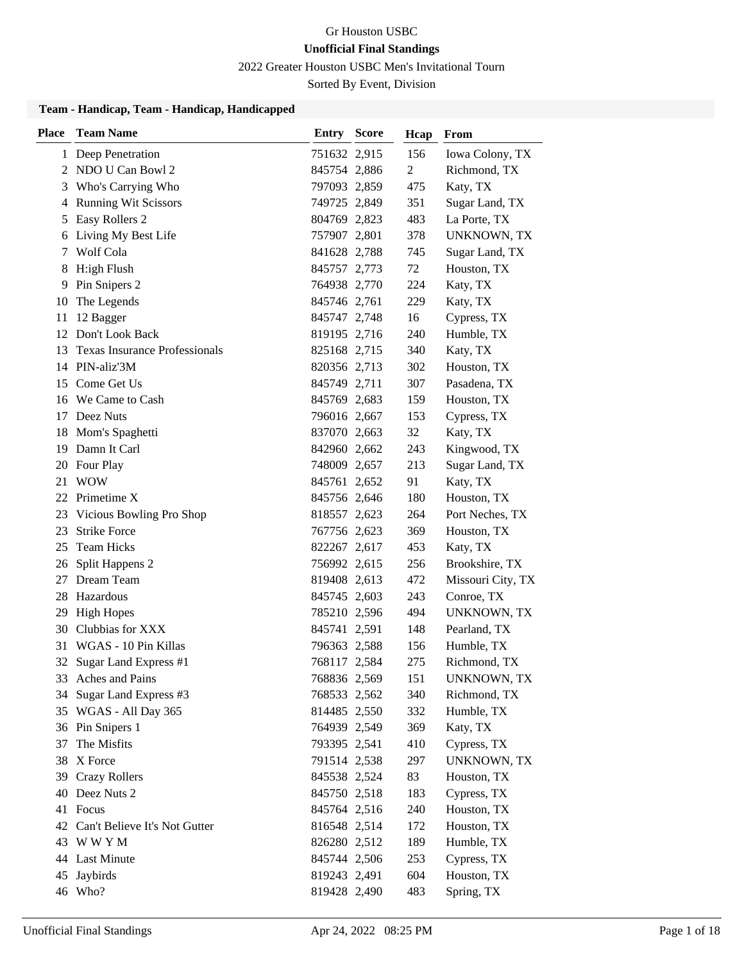2022 Greater Houston USBC Men's Invitational Tourn

Sorted By Event, Division

#### **Team - Handicap, Team - Handicap, Handicapped**

| <b>Place</b> | <b>Team Name</b>                     | <b>Entry Score</b> | Hcap | From               |
|--------------|--------------------------------------|--------------------|------|--------------------|
|              | 1 Deep Penetration                   | 751632 2,915       | 156  | Iowa Colony, TX    |
|              | 2 NDO U Can Bowl 2                   | 845754 2,886       | 2    | Richmond, TX       |
| 3            | Who's Carrying Who                   | 797093 2,859       | 475  | Katy, TX           |
| 4            | <b>Running Wit Scissors</b>          | 749725 2,849       | 351  | Sugar Land, TX     |
| 5            | Easy Rollers 2                       | 804769 2,823       | 483  | La Porte, TX       |
| 6            | Living My Best Life                  | 757907 2,801       | 378  | <b>UNKNOWN, TX</b> |
| 7            | Wolf Cola                            | 841628 2,788       | 745  | Sugar Land, TX     |
| 8            | H:igh Flush                          | 845757 2,773       | 72   | Houston, TX        |
| 9            | Pin Snipers 2                        | 764938 2,770       | 224  | Katy, TX           |
| 10           | The Legends                          | 845746 2,761       | 229  | Katy, TX           |
| 11           | 12 Bagger                            | 845747 2,748       | 16   | Cypress, TX        |
|              | 12 Don't Look Back                   | 819195 2,716       | 240  | Humble, TX         |
| 13           | <b>Texas Insurance Professionals</b> | 825168 2,715       | 340  | Katy, TX           |
|              | 14 PIN-aliz'3M                       | 820356 2,713       | 302  | Houston, TX        |
|              | 15 Come Get Us                       | 845749 2,711       | 307  | Pasadena, TX       |
|              | 16 We Came to Cash                   | 845769 2,683       | 159  | Houston, TX        |
| 17           | Deez Nuts                            | 796016 2,667       | 153  | Cypress, TX        |
| 18           | Mom's Spaghetti                      | 837070 2,663       | 32   | Katy, TX           |
|              | 19 Damn It Carl                      | 842960 2,662       | 243  | Kingwood, TX       |
|              | 20 Four Play                         | 748009 2,657       | 213  | Sugar Land, TX     |
| 21           | <b>WOW</b>                           | 845761 2,652       | 91   | Katy, TX           |
|              | 22 Primetime X                       | 845756 2,646       | 180  | Houston, TX        |
|              | 23 Vicious Bowling Pro Shop          | 818557 2,623       | 264  | Port Neches, TX    |
| 23           | <b>Strike Force</b>                  | 767756 2,623       | 369  | Houston, TX        |
| 25           | <b>Team Hicks</b>                    | 822267 2,617       | 453  | Katy, TX           |
| 26           | Split Happens 2                      | 756992 2,615       | 256  | Brookshire, TX     |
| 27 -         | Dream Team                           | 819408 2,613       | 472  | Missouri City, TX  |
|              | 28 Hazardous                         | 845745 2,603       | 243  | Conroe, TX         |
| 29           | <b>High Hopes</b>                    | 785210 2,596       | 494  | <b>UNKNOWN, TX</b> |
| 30           | Clubbias for XXX                     | 845741 2,591       | 148  | Pearland, TX       |
| 31           | WGAS - 10 Pin Killas                 | 796363 2,588       | 156  | Humble, TX         |
| 32           | Sugar Land Express #1                | 768117 2,584       | 275  | Richmond, TX       |
|              | 33 Aches and Pains                   | 768836 2,569       | 151  | <b>UNKNOWN, TX</b> |
| 34           | Sugar Land Express #3                | 768533 2,562       | 340  | Richmond, TX       |
|              | 35 WGAS - All Day 365                | 814485 2,550       | 332  | Humble, TX         |
|              | 36 Pin Snipers 1                     | 764939 2,549       | 369  | Katy, TX           |
| 37           | The Misfits                          | 793395 2,541       | 410  | Cypress, TX        |
|              | 38 X Force                           | 791514 2,538       | 297  | UNKNOWN, TX        |
|              | 39 Crazy Rollers                     | 845538 2,524       | 83   | Houston, TX        |
|              | 40 Deez Nuts 2                       | 845750 2,518       | 183  | Cypress, TX        |
|              | 41 Focus                             | 845764 2,516       | 240  | Houston, TX        |
|              | 42 Can't Believe It's Not Gutter     | 816548 2,514       | 172  | Houston, TX        |
|              | 43 WWYM                              | 826280 2,512       | 189  | Humble, TX         |
|              | 44 Last Minute                       | 845744 2,506       | 253  | Cypress, TX        |
| 45           | Jaybirds                             | 819243 2,491       | 604  | Houston, TX        |
|              | 46 Who?                              | 819428 2,490       | 483  | Spring, TX         |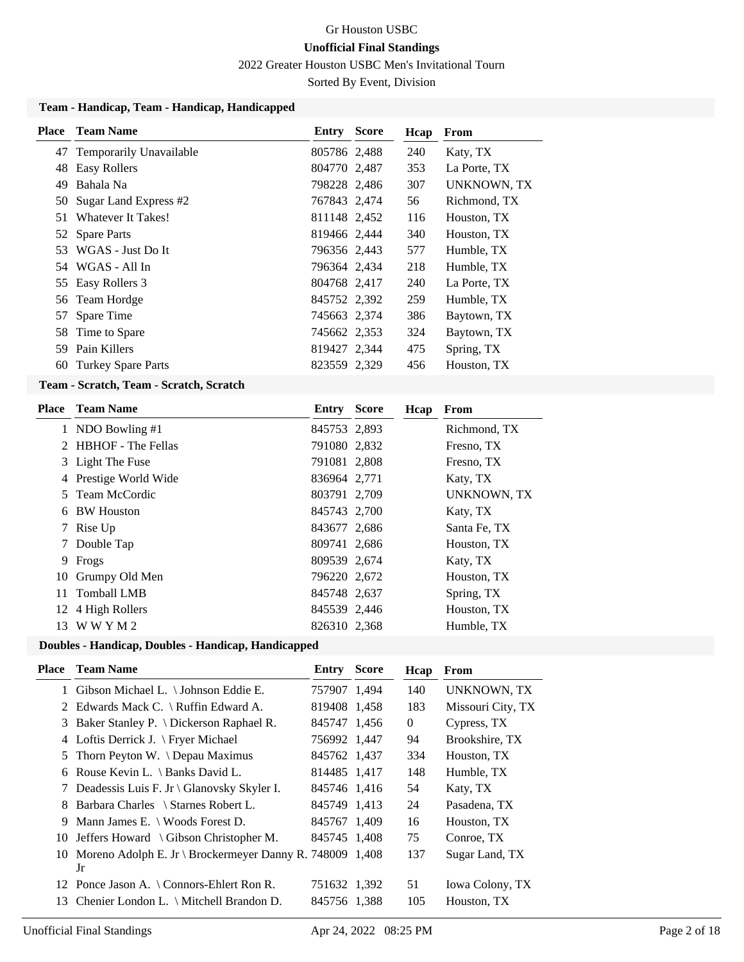2022 Greater Houston USBC Men's Invitational Tourn

Sorted By Event, Division

#### **Team - Handicap, Team - Handicap, Handicapped**

| Place | <b>Team Name</b>          | Entry        | <b>Score</b> | Hcap | From               |
|-------|---------------------------|--------------|--------------|------|--------------------|
| 47    | Temporarily Unavailable   | 805786 2,488 |              | 240  | Katy, TX           |
| 48    | Easy Rollers              | 804770 2.487 |              | 353  | La Porte, TX       |
| 49    | Bahala Na                 | 798228 2,486 |              | 307  | <b>UNKNOWN, TX</b> |
| 50    | Sugar Land Express #2     | 767843 2,474 |              | 56   | Richmond, TX       |
| 51    | Whatever It Takes!        | 811148 2,452 |              | 116  | Houston, TX        |
|       | 52 Spare Parts            | 819466 2,444 |              | 340  | Houston, TX        |
| 53    | WGAS - Just Do It         | 796356 2,443 |              | 577  | Humble, TX         |
| 54    | WGAS - All In             | 796364 2,434 |              | 218  | Humble, TX         |
| 55    | Easy Rollers 3            | 804768 2,417 |              | 240  | La Porte, TX       |
| 56    | Team Hordge               | 845752 2,392 |              | 259  | Humble, TX         |
| 57    | Spare Time                | 745663 2,374 |              | 386  | Baytown, TX        |
| 58    | Time to Spare             | 745662 2,353 |              | 324  | Baytown, TX        |
| 59    | Pain Killers              | 819427 2,344 |              | 475  | Spring, TX         |
| 60    | <b>Turkey Spare Parts</b> | 823559 2,329 |              | 456  | Houston, TX        |
|       |                           |              |              |      |                    |

#### **Team - Scratch, Team - Scratch, Scratch**

| Place | <b>Team Name</b>      | Entry        | <b>Score</b> | Hcap | From         |
|-------|-----------------------|--------------|--------------|------|--------------|
|       | 1 NDO Bowling #1      | 845753 2,893 |              |      | Richmond, TX |
|       | 2 HBHOF - The Fellas  | 791080 2,832 |              |      | Fresno, TX   |
|       | 3 Light The Fuse      | 791081 2,808 |              |      | Fresno, TX   |
|       | 4 Prestige World Wide | 836964 2,771 |              |      | Katy, TX     |
|       | 5 Team McCordic       | 803791 2,709 |              |      | UNKNOWN, TX  |
|       | 6 BW Houston          | 845743 2,700 |              |      | Katy, TX     |
|       | 7 Rise Up             | 843677 2,686 |              |      | Santa Fe, TX |
|       | Double Tap            | 809741 2,686 |              |      | Houston, TX  |
| 9     | Frogs                 | 809539 2,674 |              |      | Katy, TX     |
| 10    | Grumpy Old Men        | 796220 2,672 |              |      | Houston, TX  |
| 11.   | <b>Tomball LMB</b>    | 845748 2,637 |              |      | Spring, TX   |
|       | 12 4 High Rollers     | 845539 2,446 |              |      | Houston, TX  |
| 13    | WWYM2                 | 826310 2,368 |              |      | Humble, TX   |
|       |                       |              |              |      |              |

#### **Doubles - Handicap, Doubles - Handicap, Handicapped**

| Place | <b>Team Name</b>                                           | Entry        | <b>Score</b> | Hcap     | From               |
|-------|------------------------------------------------------------|--------------|--------------|----------|--------------------|
|       | 1 Gibson Michael L. \ Johnson Eddie E.                     | 757907 1,494 |              | 140      | <b>UNKNOWN, TX</b> |
| 2     | Edwards Mack C. \ Ruffin Edward A.                         | 819408 1,458 |              | 183      | Missouri City, TX  |
| 3     | Baker Stanley P. \ Dickerson Raphael R.                    | 845747 1,456 |              | $\Omega$ | Cypress, TX        |
| 4     | Loftis Derrick J. $\$ Fryer Michael                        | 756992 1,447 |              | 94       | Brookshire, TX     |
| 5     | Thorn Peyton W. $\Omega$ Depau Maximus                     | 845762 1,437 |              | 334      | Houston, TX        |
| 6     | Rouse Kevin L. \ Banks David L.                            | 814485 1,417 |              | 148      | Humble, TX         |
| 7     | Deadessis Luis F. Jr \ Glanovsky Skyler I.                 | 845746 1.416 |              | 54       | Katy, TX           |
| 8     | Barbara Charles \ Starnes Robert L.                        | 845749 1,413 |              | 24       | Pasadena, TX       |
| 9     | Mann James E. $\setminus$ Woods Forest D.                  | 845767 1,409 |              | 16       | Houston, TX        |
| 10    | Jeffers Howard $\setminus$ Gibson Christopher M.           | 845745 1,408 |              | 75       | Conroe, TX         |
| 10    | Moreno Adolph E. Jr \ Brockermeyer Danny R. 748009 $1,408$ |              |              | 137      | Sugar Land, TX     |
|       | Jr                                                         |              |              |          |                    |
|       | 12 Ponce Jason A. \ Connors-Ehlert Ron R.                  | 751632 1,392 |              | 51       | Iowa Colony, TX    |
| 13    | Chenier London L. \ Mitchell Brandon D.                    | 845756 1.388 |              | 105      | Houston, TX        |
|       |                                                            |              |              |          |                    |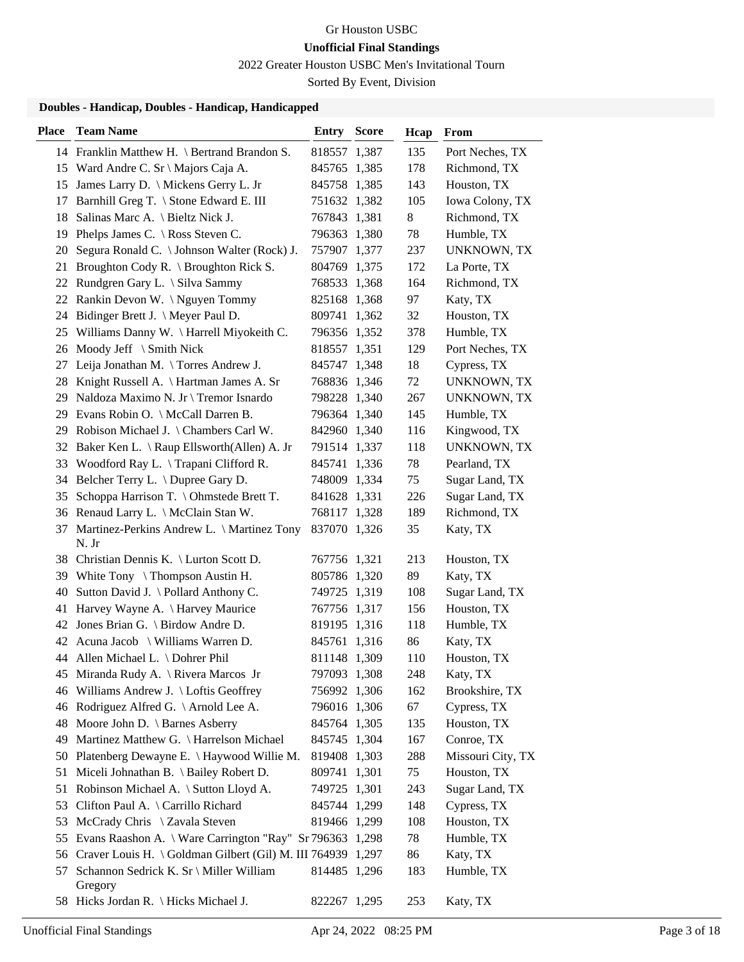2022 Greater Houston USBC Men's Invitational Tourn

Sorted By Event, Division

### **Doubles - Handicap, Doubles - Handicap, Handicapped**

| <b>Place</b> | <b>Team Name</b>                                               | Entry        | <b>Score</b> | Hcap | From               |
|--------------|----------------------------------------------------------------|--------------|--------------|------|--------------------|
|              | 14 Franklin Matthew H. \ Bertrand Brandon S.                   | 818557 1,387 |              | 135  | Port Neches, TX    |
|              | 15 Ward Andre C. Sr \ Majors Caja A.                           | 845765 1,385 |              | 178  | Richmond, TX       |
|              | 15 James Larry D. \ Mickens Gerry L. Jr                        | 845758 1,385 |              | 143  | Houston, TX        |
| 17           | Barnhill Greg T. \ Stone Edward E. III                         | 751632 1,382 |              | 105  | Iowa Colony, TX    |
| 18           | Salinas Marc A. \ Bieltz Nick J.                               | 767843 1,381 |              | 8    | Richmond, TX       |
| 19           | Phelps James C. $\setminus$ Ross Steven C.                     | 796363 1,380 |              | 78   | Humble, TX         |
| 20           | Segura Ronald C.   Johnson Walter (Rock) J.                    | 757907 1,377 |              | 237  | <b>UNKNOWN, TX</b> |
|              | 21 Broughton Cody R. \ Broughton Rick S.                       | 804769 1,375 |              | 172  | La Porte, TX       |
|              | 22 Rundgren Gary L. \ Silva Sammy                              | 768533 1,368 |              | 164  | Richmond, TX       |
|              | 22 Rankin Devon W. \Nguyen Tommy                               | 825168 1,368 |              | 97   | Katy, TX           |
| 24           | Bidinger Brett J. \ Meyer Paul D.                              | 809741 1,362 |              | 32   | Houston, TX        |
| 25           | Williams Danny W. \ Harrell Miyokeith C.                       | 796356 1,352 |              | 378  | Humble, TX         |
| 26           | Moody Jeff \ Smith Nick                                        | 818557 1,351 |              | 129  | Port Neches, TX    |
| 27           | Leija Jonathan M. \Torres Andrew J.                            | 845747 1,348 |              | 18   | Cypress, TX        |
| 28           | Knight Russell A. \ Hartman James A. Sr                        | 768836 1,346 |              | 72   | UNKNOWN, TX        |
|              | 29 Naldoza Maximo N. Jr \ Tremor Isnardo                       | 798228 1,340 |              | 267  | UNKNOWN, TX        |
|              | 29 Evans Robin O. \ McCall Darren B.                           | 796364 1,340 |              | 145  | Humble, TX         |
| 29           | Robison Michael J. \ Chambers Carl W.                          | 842960 1,340 |              | 116  | Kingwood, TX       |
| 32           | Baker Ken L. \ Raup Ellsworth(Allen) A. Jr                     | 791514 1,337 |              | 118  | <b>UNKNOWN, TX</b> |
| 33           | Woodford Ray L. $\Gamma$ Trapani Clifford R.                   | 845741 1,336 |              | 78   | Pearland, TX       |
|              | 34 Belcher Terry L. \Dupree Gary D.                            | 748009 1,334 |              | 75   | Sugar Land, TX     |
| 35           | Schoppa Harrison T. \ Ohmstede Brett T.                        | 841628 1,331 |              | 226  | Sugar Land, TX     |
|              | 36 Renaud Larry L. \ McClain Stan W.                           | 768117 1,328 |              | 189  | Richmond, TX       |
| 37           | Martinez-Perkins Andrew L. \ Martinez Tony<br>N. Jr            | 837070 1,326 |              | 35   | Katy, TX           |
|              | 38 Christian Dennis K. \ Lurton Scott D.                       | 767756 1,321 |              | 213  | Houston, TX        |
|              | 39 White Tony \ Thompson Austin H.                             | 805786 1,320 |              | 89   | Katy, TX           |
| 40           | Sutton David J. \ Pollard Anthony C.                           | 749725 1,319 |              | 108  | Sugar Land, TX     |
| 41           | Harvey Wayne A. \ Harvey Maurice                               | 767756 1,317 |              | 156  | Houston, TX        |
| 42           | Jones Brian G. \ Birdow Andre D.                               | 819195 1,316 |              | 118  | Humble, TX         |
|              | 42 Acuna Jacob \ Williams Warren D.                            | 845761 1,316 |              | 86   | Katy, TX           |
|              | 44 Allen Michael L. \ Dohrer Phil                              | 811148 1,309 |              | 110  | Houston, TX        |
|              | 45 Miranda Rudy A. \ Rivera Marcos Jr                          | 797093 1,308 |              | 248  | Katy, TX           |
|              | 46 Williams Andrew J. \ Loftis Geoffrey                        | 756992 1,306 |              | 162  | Brookshire, TX     |
|              | 46 Rodriguez Alfred G. \Arnold Lee A.                          | 796016 1,306 |              | 67   | Cypress, TX        |
| 48           | Moore John D. \ Barnes Asberry                                 | 845764 1,305 |              | 135  | Houston, TX        |
|              | 49 Martinez Matthew G. \ Harrelson Michael                     | 845745 1,304 |              | 167  | Conroe, TX         |
|              | 50 Platenberg Dewayne E. \ Haywood Willie M.                   | 819408 1,303 |              | 288  | Missouri City, TX  |
| 51           | Miceli Johnathan B. \ Bailey Robert D.                         | 809741 1,301 |              | 75   | Houston, TX        |
| 51           | Robinson Michael A. \ Sutton Lloyd A.                          | 749725 1,301 |              | 243  | Sugar Land, TX     |
| 53           | Clifton Paul A. \ Carrillo Richard                             | 845744 1,299 |              | 148  | Cypress, TX        |
| 53           | McCrady Chris \ Zavala Steven                                  | 819466 1,299 |              | 108  | Houston, TX        |
| 55           | Evans Raashon A. \ Ware Carrington "Ray" Sr 796363 1,298       |              |              | 78   | Humble, TX         |
|              | 56 Craver Louis H. \ Goldman Gilbert (Gil) M. III 764939 1,297 |              |              | 86   | Katy, TX           |
| 57           | Schannon Sedrick K. Sr \ Miller William<br>Gregory             | 814485 1,296 |              | 183  | Humble, TX         |
|              | 58 Hicks Jordan R. \ Hicks Michael J.                          | 822267 1,295 |              | 253  | Katy, TX           |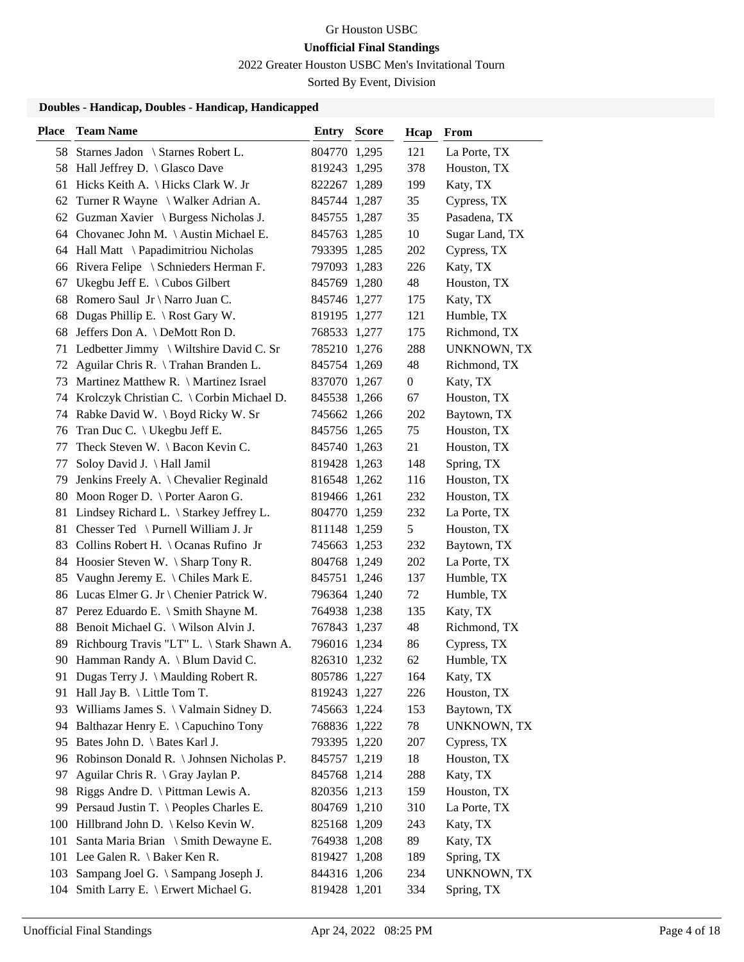2022 Greater Houston USBC Men's Invitational Tourn

Sorted By Event, Division

### **Doubles - Handicap, Doubles - Handicap, Handicapped**

| <b>Place</b> | <b>Team Name</b>                               | <b>Entry Score</b> | Hcap             | From           |
|--------------|------------------------------------------------|--------------------|------------------|----------------|
|              | 58 Starnes Jadon \ Starnes Robert L.           | 804770 1,295       | 121              | La Porte, TX   |
|              | 58 Hall Jeffrey D. \ Glasco Dave               | 819243 1,295       | 378              | Houston, TX    |
| 61           | Hicks Keith A. \ Hicks Clark W. Jr             | 822267 1,289       | 199              | Katy, TX       |
| 62           | Turner R Wayne \ Walker Adrian A.              | 845744 1,287       | 35               | Cypress, TX    |
|              | 62 Guzman Xavier \ Burgess Nicholas J.         | 845755 1,287       | 35               | Pasadena, TX   |
|              | 64 Chovanec John M. \ Austin Michael E.        | 845763 1,285       | 10               | Sugar Land, TX |
|              | 64 Hall Matt \ Papadimitriou Nicholas          | 793395 1,285       | 202              | Cypress, TX    |
|              | 66 Rivera Felipe \ Schnieders Herman F.        | 797093 1,283       | 226              | Katy, TX       |
| 67           | Ukegbu Jeff E. $\setminus$ Cubos Gilbert       | 845769 1,280       | 48               | Houston, TX    |
| 68           | Romero Saul Jr \ Narro Juan C.                 | 845746 1,277       | 175              | Katy, TX       |
| 68           | Dugas Phillip E. \ Rost Gary W.                | 819195 1,277       | 121              | Humble, TX     |
| 68           | Jeffers Don A. \ DeMott Ron D.                 | 768533 1,277       | 175              | Richmond, TX   |
| 71           | Ledbetter Jimmy \ Wiltshire David C. Sr        | 785210 1,276       | 288              | UNKNOWN, TX    |
|              | 72 Aguilar Chris R. \Trahan Branden L.         | 845754 1,269       | 48               | Richmond, TX   |
| 73           | Martinez Matthew R. \ Martinez Israel          | 837070 1,267       | $\boldsymbol{0}$ | Katy, TX       |
|              | 74 Krolczyk Christian C. \ Corbin Michael D.   | 845538 1,266       | 67               | Houston, TX    |
|              | 74 Rabke David W. \ Boyd Ricky W. Sr           | 745662 1,266       | 202              | Baytown, TX    |
| 76           | Tran Duc C. $\setminus$ Ukegbu Jeff E.         | 845756 1,265       | 75               | Houston, TX    |
| 77           | Theck Steven W. \ Bacon Kevin C.               | 845740 1,263       | 21               | Houston, TX    |
| 77           | Soloy David J. \ Hall Jamil                    | 819428 1,263       | 148              | Spring, TX     |
| 79           | Jenkins Freely A. \ Chevalier Reginald         | 816548 1,262       | 116              | Houston, TX    |
|              | 80 Moon Roger D. \ Porter Aaron G.             | 819466 1,261       | 232              | Houston, TX    |
| 81           | Lindsey Richard L. \ Starkey Jeffrey L.        | 804770 1,259       | 232              | La Porte, TX   |
|              | 81 Chesser Ted \ Purnell William J. Jr         | 811148 1,259       | 5                | Houston, TX    |
| 83           | Collins Robert H. $\setminus$ Ocanas Rufino Jr | 745663 1,253       | 232              | Baytown, TX    |
|              | 84 Hoosier Steven W. \ Sharp Tony R.           | 804768 1,249       | 202              | La Porte, TX   |
| 85           | Vaughn Jeremy E. \ Chiles Mark E.              | 845751 1,246       | 137              | Humble, TX     |
|              | 86 Lucas Elmer G. Jr \ Chenier Patrick W.      | 796364 1,240       | 72               | Humble, TX     |
|              | 87 Perez Eduardo E. \ Smith Shayne M.          | 764938 1,238       | 135              | Katy, TX       |
|              | 88 Benoit Michael G. \ Wilson Alvin J.         | 767843 1,237       | 48               | Richmond, TX   |
| 89           | Richbourg Travis "LT" L. \ Stark Shawn A.      | 796016 1,234       | 86               | Cypress, TX    |
|              | 90 Hamman Randy A. \ Blum David C.             | 826310 1,232       | 62               | Humble, TX     |
|              | 91 Dugas Terry J. \ Maulding Robert R.         | 805786 1,227       | 164              | Katy, TX       |
|              | 91 Hall Jay B. \ Little Tom T.                 | 819243 1,227       | 226              | Houston, TX    |
| 93           | Williams James S. \ Valmain Sidney D.          | 745663 1,224       | 153              | Baytown, TX    |
|              | 94 Balthazar Henry E. \ Capuchino Tony         | 768836 1,222       | 78               | UNKNOWN, TX    |
| 95           | Bates John D. \ Bates Karl J.                  | 793395 1,220       | 207              | Cypress, TX    |
| 96           | Robinson Donald R. \ Johnsen Nicholas P.       | 845757 1,219       | 18               | Houston, TX    |
| 97           | Aguilar Chris R. $\langle$ Gray Jaylan P.      | 845768 1,214       | 288              | Katy, TX       |
| 98           | Riggs Andre D. $\forall$ Pittman Lewis A.      | 820356 1,213       | 159              | Houston, TX    |
| 99           | Persaud Justin T. \ Peoples Charles E.         | 804769 1,210       | 310              | La Porte, TX   |
|              | 100 Hillbrand John D.   Kelso Kevin W.         | 825168 1,209       | 243              | Katy, TX       |
| 101          | Santa Maria Brian \ Smith Dewayne E.           | 764938 1,208       | 89               | Katy, TX       |
|              | 101 Lee Galen R. \ Baker Ken R.                | 819427 1,208       | 189              | Spring, TX     |
| 103          | Sampang Joel G. \ Sampang Joseph J.            | 844316 1,206       | 234              | UNKNOWN, TX    |
|              | 104 Smith Larry E. \ Erwert Michael G.         | 819428 1,201       | 334              | Spring, TX     |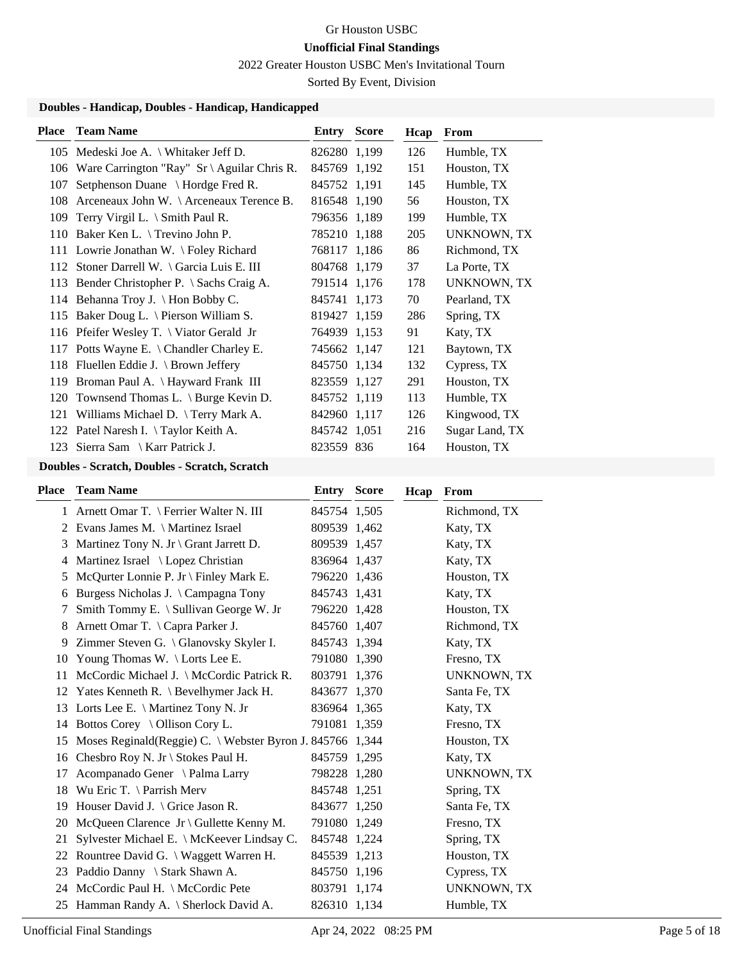2022 Greater Houston USBC Men's Invitational Tourn

Sorted By Event, Division

# **Doubles - Handicap, Doubles - Handicap, Handicapped**

| <b>Place</b> | <b>Team Name</b>                                                | <b>Entry Score</b> | Hcap | <b>From</b>        |
|--------------|-----------------------------------------------------------------|--------------------|------|--------------------|
|              | 105 Medeski Joe A. \ Whitaker Jeff D.                           | 826280 1,199       | 126  | Humble, TX         |
| 106          | Ware Carrington "Ray" $Sr \ \$ Aguilar Chris R.                 | 845769 1,192       | 151  | Houston, TX        |
| 107          | Setphenson Duane \ Hordge Fred R.                               | 845752 1,191       | 145  | Humble, TX         |
| 108          | Arceneaux John W. $\operatorname{\Lambda}$ Arceneaux Terence B. | 816548 1,190       | 56   | Houston, TX        |
| 109          | Terry Virgil L. $\Im$ Smith Paul R.                             | 796356 1,189       | 199  | Humble, TX         |
| 110          | Baker Ken L. $\langle$ Trevino John P.                          | 785210 1,188       | 205  | <b>UNKNOWN, TX</b> |
|              | 111 Lowrie Jonathan W. \ Foley Richard                          | 768117 1,186       | 86   | Richmond, TX       |
|              | 112 Stoner Darrell W. \ Garcia Luis E. III                      | 804768 1,179       | 37   | La Porte, TX       |
|              | 113 Bender Christopher P. \ Sachs Craig A.                      | 791514 1,176       | 178  | <b>UNKNOWN, TX</b> |
|              | 114 Behanna Troy J. \ Hon Bobby C.                              | 845741 1,173       | 70   | Pearland, TX       |
| 115          | Baker Doug L. \ Pierson William S.                              | 819427 1,159       | 286  | Spring, TX         |
|              | 116 Pfeifer Wesley T. \ Viator Gerald Jr                        | 764939 1,153       | 91   | Katy, TX           |
| 117          | Potts Wayne E. \ Chandler Charley E.                            | 745662 1,147       | 121  | Baytown, TX        |
| 118          | Fluellen Eddie J. \ Brown Jeffery                               | 845750 1,134       | 132  | Cypress, TX        |
| 119          | Broman Paul A. \ Hayward Frank III                              | 823559 1,127       | 291  | Houston, TX        |
|              | 120 Townsend Thomas L. \ Burge Kevin D.                         | 845752 1,119       | 113  | Humble, TX         |
| 121          | Williams Michael D. \ Terry Mark A.                             | 842960 1,117       | 126  | Kingwood, TX       |
|              | 122 Patel Naresh I. \Taylor Keith A.                            | 845742 1,051       | 216  | Sugar Land, TX     |
| 123          | Sierra Sam $\setminus$ Karr Patrick J.                          | 823559 836         | 164  | Houston, TX        |

## **Doubles - Scratch, Doubles - Scratch, Scratch**

| Place | <b>Team Name</b>                                          | <b>Entry Score</b> | Hcap | From               |
|-------|-----------------------------------------------------------|--------------------|------|--------------------|
|       | 1 Arnett Omar T. \ Ferrier Walter N. III                  | 845754 1,505       |      | Richmond, TX       |
|       | 2 Evans James M. \ Martinez Israel                        | 809539 1,462       |      | Katy, TX           |
| 3     | Martinez Tony N. Jr \ Grant Jarrett D.                    | 809539 1,457       |      | Katy, TX           |
| 4     | Martinez Israel \ Lopez Christian                         | 836964 1,437       |      | Katy, TX           |
| 5     | McQurter Lonnie P. Jr \ Finley Mark E.                    | 796220 1,436       |      | Houston, TX        |
| 6     | Burgess Nicholas J. \ Campagna Tony                       | 845743 1,431       |      | Katy, TX           |
| 7     | Smith Tommy E. \ Sullivan George W. Jr                    | 796220 1,428       |      | Houston, TX        |
| 8     | Arnett Omar T. \ Capra Parker J.                          | 845760 1,407       |      | Richmond, TX       |
| 9     | Zimmer Steven G. \ Glanovsky Skyler I.                    | 845743 1,394       |      | Katy, TX           |
| 10    | Young Thomas W. \Lorts Lee E.                             | 791080 1,390       |      | Fresno, TX         |
| 11    | McCordic Michael J. \ McCordic Patrick R.                 | 803791 1,376       |      | UNKNOWN, TX        |
| 12    | Yates Kenneth R. $\ \$ Bevelhymer Jack H.                 | 843677 1,370       |      | Santa Fe, TX       |
|       | 13 Lorts Lee E. \ Martinez Tony N. Jr                     | 836964 1,365       |      | Katy, TX           |
|       | 14 Bottos Corey \ Ollison Cory L.                         | 791081 1,359       |      | Fresno, TX         |
| 15    | Moses Reginald(Reggie) C. \ Webster Byron J. 845766 1,344 |                    |      | Houston, TX        |
| 16    | Chesbro Roy N. Jr \ Stokes Paul H.                        | 845759 1,295       |      | Katy, TX           |
| 17    | Acompanado Gener \ Palma Larry                            | 798228 1,280       |      | <b>UNKNOWN, TX</b> |
| 18    | Wu Eric T. $\$ Parrish Merv                               | 845748 1,251       |      | Spring, TX         |
| 19    | Houser David J. $\langle$ Grice Jason R.                  | 843677 1,250       |      | Santa Fe, TX       |
| 20    | McQueen Clarence Jr \ Gullette Kenny M.                   | 791080 1,249       |      | Fresno, TX         |
| 21    | Sylvester Michael E. \ McKeever Lindsay C.                | 845748 1,224       |      | Spring, TX         |
| 22    | Rountree David G. \ Waggett Warren H.                     | 845539 1,213       |      | Houston, TX        |
| 23    | Paddio Danny \ Stark Shawn A.                             | 845750 1,196       |      | Cypress, TX        |
|       | 24 McCordic Paul H. \ McCordic Pete                       | 803791 1,174       |      | <b>UNKNOWN, TX</b> |
|       | 25 Hamman Randy A. \ Sherlock David A.                    | 826310 1,134       |      | Humble, TX         |
|       |                                                           |                    |      |                    |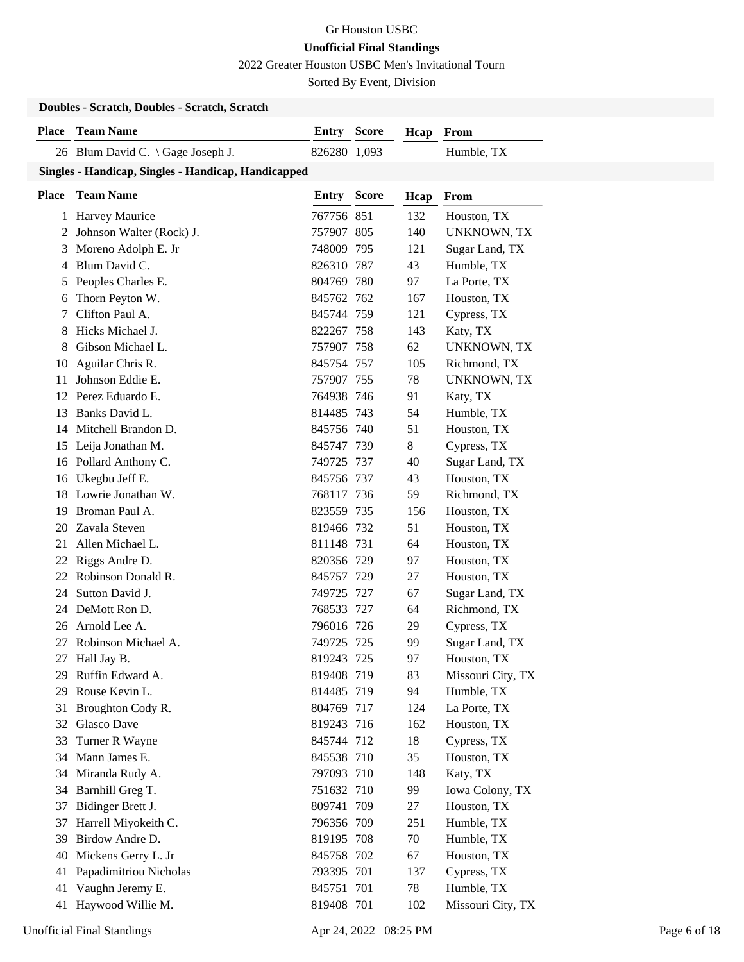2022 Greater Houston USBC Men's Invitational Tourn

Sorted By Event, Division

#### **Doubles - Scratch, Doubles - Scratch, Scratch**

| <b>Place</b> | <b>Team Name</b>                                    | <b>Entry Score</b> |              | Hcap | From               |
|--------------|-----------------------------------------------------|--------------------|--------------|------|--------------------|
|              | 26 Blum David C. \ Gage Joseph J.                   | 826280 1,093       |              |      | Humble, TX         |
|              | Singles - Handicap, Singles - Handicap, Handicapped |                    |              |      |                    |
| <b>Place</b> | <b>Team Name</b>                                    | <b>Entry</b>       | <b>Score</b> | Hcap | From               |
|              | 1 Harvey Maurice                                    | 767756 851         |              | 132  | Houston, TX        |
|              | 2 Johnson Walter (Rock) J.                          | 757907 805         |              | 140  | <b>UNKNOWN, TX</b> |
|              | 3 Moreno Adolph E. Jr                               | 748009 795         |              | 121  | Sugar Land, TX     |
|              | 4 Blum David C.                                     | 826310 787         |              | 43   | Humble, TX         |
| 5            | Peoples Charles E.                                  | 804769 780         |              | 97   | La Porte, TX       |
| 6            | Thorn Peyton W.                                     | 845762 762         |              | 167  | Houston, TX        |
| 7            | Clifton Paul A.                                     | 845744 759         |              | 121  | Cypress, TX        |
| 8            | Hicks Michael J.                                    | 822267 758         |              | 143  | Katy, TX           |
| 8            | Gibson Michael L.                                   | 757907 758         |              | 62   | <b>UNKNOWN, TX</b> |
| 10           | Aguilar Chris R.                                    | 845754 757         |              | 105  | Richmond, TX       |
| 11           | Johnson Eddie E.                                    | 757907 755         |              | 78   | <b>UNKNOWN, TX</b> |
|              | 12 Perez Eduardo E.                                 | 764938 746         |              | 91   | Katy, TX           |
| 13           | Banks David L.                                      | 814485 743         |              | 54   | Humble, TX         |
|              | 14 Mitchell Brandon D.                              | 845756 740         |              | 51   | Houston, TX        |
|              | 15 Leija Jonathan M.                                | 845747 739         |              | 8    | Cypress, TX        |
|              | 16 Pollard Anthony C.                               | 749725 737         |              | 40   | Sugar Land, TX     |
|              | 16 Ukegbu Jeff E.                                   | 845756 737         |              | 43   | Houston, TX        |
|              | 18 Lowrie Jonathan W.                               | 768117 736         |              | 59   | Richmond, TX       |
| 19           | Broman Paul A.                                      | 823559 735         |              | 156  | Houston, TX        |
| 20           | Zavala Steven                                       | 819466 732         |              | 51   | Houston, TX        |
| 21           | Allen Michael L.                                    | 811148 731         |              | 64   | Houston, TX        |
| 22           | Riggs Andre D.                                      | 820356 729         |              | 97   | Houston, TX        |
| 22           | Robinson Donald R.                                  | 845757 729         |              | 27   | Houston, TX        |
| 24           | Sutton David J.                                     | 749725 727         |              | 67   | Sugar Land, TX     |
| 24           | DeMott Ron D.                                       | 768533 727         |              | 64   | Richmond, TX       |
|              | 26 Arnold Lee A.                                    | 796016 726         |              | 29   | Cypress, TX        |
| 27           | Robinson Michael A.                                 | 749725 725         |              | 99   | Sugar Land, TX     |
| 27           | Hall Jay B.                                         | 819243 725         |              | 97   | Houston, TX        |
|              | 29 Ruffin Edward A.                                 | 819408 719         |              | 83   | Missouri City, TX  |
| 29           | Rouse Kevin L.                                      | 814485 719         |              | 94   | Humble, TX         |
| 31           | Broughton Cody R.                                   | 804769 717         |              | 124  | La Porte, TX       |
|              | 32 Glasco Dave                                      | 819243 716         |              | 162  | Houston, TX        |
| 33           | Turner R Wayne                                      | 845744 712         |              | 18   | Cypress, TX        |
| 34           | Mann James E.                                       | 845538 710         |              | 35   | Houston, TX        |
|              | 34 Miranda Rudy A.                                  | 797093 710         |              | 148  | Katy, TX           |
| 34           | Barnhill Greg T.                                    | 751632 710         |              | 99   | Iowa Colony, TX    |
| 37           | Bidinger Brett J.                                   | 809741 709         |              | 27   | Houston, TX        |
| 37           | Harrell Miyokeith C.                                | 796356 709         |              | 251  | Humble, TX         |
| 39           | Birdow Andre D.                                     | 819195 708         |              | 70   | Humble, TX         |
| 40           | Mickens Gerry L. Jr                                 | 845758 702         |              | 67   | Houston, TX        |
| 41           | Papadimitriou Nicholas                              | 793395 701         |              | 137  | Cypress, TX        |
| 41           | Vaughn Jeremy E.                                    | 845751 701         |              | 78   | Humble, TX         |
| 41           | Haywood Willie M.                                   | 819408 701         |              | 102  | Missouri City, TX  |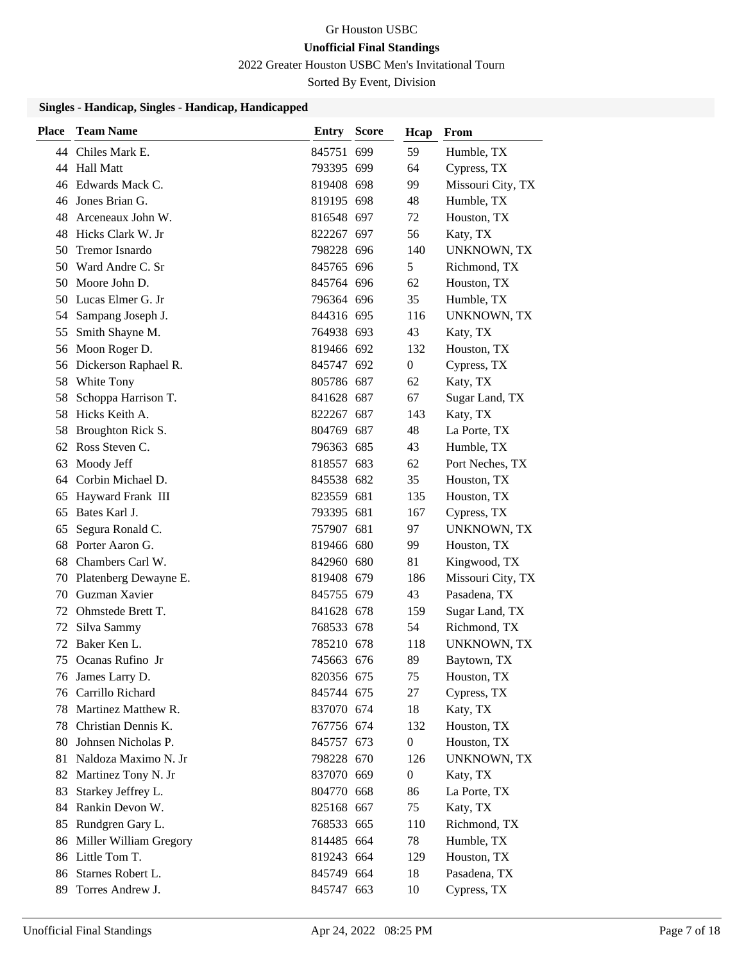2022 Greater Houston USBC Men's Invitational Tourn

Sorted By Event, Division

#### **Singles - Handicap, Singles - Handicap, Handicapped**

| <b>Place</b> | <b>Team Name</b>          | <b>Entry Score</b> | Hcap             | From               |
|--------------|---------------------------|--------------------|------------------|--------------------|
|              | 44 Chiles Mark E.         | 845751 699         | 59               | Humble, TX         |
|              | 44 Hall Matt              | 793395 699         | 64               | Cypress, TX        |
|              | 46 Edwards Mack C.        | 819408 698         | 99               | Missouri City, TX  |
| 46           | Jones Brian G.            | 819195 698         | 48               | Humble, TX         |
| 48           | Arceneaux John W.         | 816548 697         | 72               | Houston, TX        |
| 48           | Hicks Clark W. Jr         | 822267 697         | 56               | Katy, TX           |
| 50           | <b>Tremor Isnardo</b>     | 798228 696         | 140              | <b>UNKNOWN, TX</b> |
| 50           | Ward Andre C. Sr          | 845765 696         | 5                | Richmond, TX       |
| 50           | Moore John D.             | 845764 696         | 62               | Houston, TX        |
| 50           | Lucas Elmer G. Jr         | 796364 696         | 35               | Humble, TX         |
| 54           | Sampang Joseph J.         | 844316 695         | 116              | <b>UNKNOWN, TX</b> |
| 55           | Smith Shayne M.           | 764938 693         | 43               | Katy, TX           |
|              | 56 Moon Roger D.          | 819466 692         | 132              | Houston, TX        |
|              | 56 Dickerson Raphael R.   | 845747 692         | $\overline{0}$   | Cypress, TX        |
|              | 58 White Tony             | 805786 687         | 62               | Katy, TX           |
| 58           | Schoppa Harrison T.       | 841628 687         | 67               | Sugar Land, TX     |
| 58           | Hicks Keith A.            | 822267 687         | 143              | Katy, TX           |
| 58           | Broughton Rick S.         | 804769 687         | 48               | La Porte, TX       |
|              | 62 Ross Steven C.         | 796363 685         | 43               | Humble, TX         |
| 63           | Moody Jeff                | 818557 683         | 62               | Port Neches, TX    |
| 64           | Corbin Michael D.         | 845538 682         | 35               | Houston, TX        |
| 65           | Hayward Frank III         | 823559 681         | 135              | Houston, TX        |
| 65           | Bates Karl J.             | 793395 681         | 167              | Cypress, TX        |
| 65           | Segura Ronald C.          | 757907 681         | 97               | <b>UNKNOWN, TX</b> |
| 68           | Porter Aaron G.           | 819466 680         | 99               | Houston, TX        |
| 68           | Chambers Carl W.          | 842960 680         | 81               | Kingwood, TX       |
| 70           | Platenberg Dewayne E.     | 819408 679         | 186              | Missouri City, TX  |
| 70           | Guzman Xavier             | 845755 679         | 43               | Pasadena, TX       |
| 72           | Ohmstede Brett T.         | 841628 678         | 159              | Sugar Land, TX     |
| 72           | Silva Sammy               | 768533 678         | 54               | Richmond, TX       |
| 72           | Baker Ken L.              | 785210 678         | 118              | <b>UNKNOWN, TX</b> |
| 75           | Ocanas Rufino Jr          | 745663 676         | 89               | Baytown, TX        |
|              | 76 James Larry D.         | 820356 675         | 75               | Houston, TX        |
|              | 76 Carrillo Richard       | 845744 675         | 27               | Cypress, TX        |
| 78           | Martinez Matthew R.       | 837070 674         | 18               | Katy, TX           |
|              | 78 Christian Dennis K.    | 767756 674         | 132              | Houston, TX        |
| 80           | Johnsen Nicholas P.       | 845757 673         | $\boldsymbol{0}$ | Houston, TX        |
| 81           | Naldoza Maximo N. Jr      | 798228 670         | 126              | <b>UNKNOWN, TX</b> |
| 82           | Martinez Tony N. Jr       | 837070 669         | $\boldsymbol{0}$ | Katy, TX           |
| 83           | Starkey Jeffrey L.        | 804770 668         | 86               | La Porte, TX       |
| 84           | Rankin Devon W.           | 825168 667         | 75               | Katy, TX           |
| 85           | Rundgren Gary L.          | 768533 665         | 110              | Richmond, TX       |
|              | 86 Miller William Gregory | 814485 664         | 78               | Humble, TX         |
|              | 86 Little Tom T.          | 819243 664         | 129              | Houston, TX        |
| 86           | Starnes Robert L.         | 845749 664         | 18               | Pasadena, TX       |
| 89           | Torres Andrew J.          | 845747 663         | 10               | Cypress, TX        |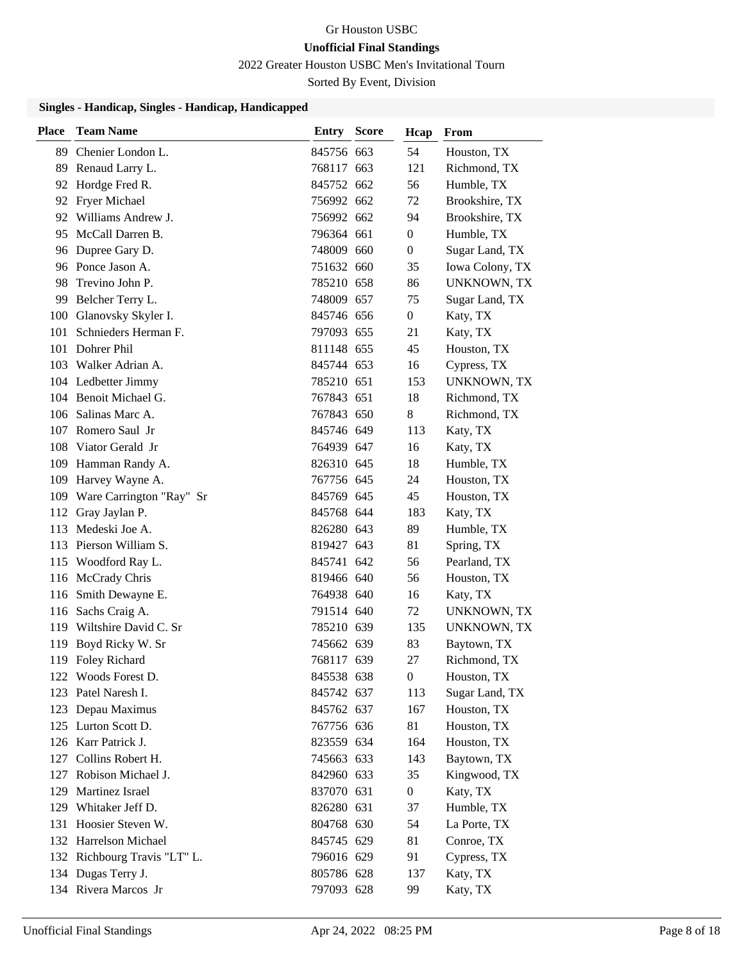2022 Greater Houston USBC Men's Invitational Tourn

Sorted By Event, Division

#### **Singles - Handicap, Singles - Handicap, Handicapped**

| <b>Place</b> | <b>Team Name</b>             | <b>Entry Score</b> | Hcap             | From               |
|--------------|------------------------------|--------------------|------------------|--------------------|
|              | 89 Chenier London L.         | 845756 663         | 54               | Houston, TX        |
| 89           | Renaud Larry L.              | 768117 663         | 121              | Richmond, TX       |
|              | 92 Hordge Fred R.            | 845752 662         | 56               | Humble, TX         |
|              | 92 Fryer Michael             | 756992 662         | 72               | Brookshire, TX     |
|              | 92 Williams Andrew J.        | 756992 662         | 94               | Brookshire, TX     |
|              | 95 McCall Darren B.          | 796364 661         | $\overline{0}$   | Humble, TX         |
|              | 96 Dupree Gary D.            | 748009 660         | $\overline{0}$   | Sugar Land, TX     |
|              | 96 Ponce Jason A.            | 751632 660         | 35               | Iowa Colony, TX    |
| 98           | Trevino John P.              | 785210 658         | 86               | <b>UNKNOWN, TX</b> |
| 99           | Belcher Terry L.             | 748009 657         | 75               | Sugar Land, TX     |
| 100          | Glanovsky Skyler I.          | 845746 656         | $\overline{0}$   | Katy, TX           |
| 101          | Schnieders Herman F.         | 797093 655         | 21               | Katy, TX           |
| 101          | Dohrer Phil                  | 811148 655         | 45               | Houston, TX        |
|              | 103 Walker Adrian A.         | 845744 653         | 16               | Cypress, TX        |
|              | 104 Ledbetter Jimmy          | 785210 651         | 153              | <b>UNKNOWN, TX</b> |
|              | 104 Benoit Michael G.        | 767843 651         | 18               | Richmond, TX       |
|              | 106 Salinas Marc A.          | 767843 650         | 8                | Richmond, TX       |
|              | 107 Romero Saul Jr           | 845746 649         | 113              | Katy, TX           |
| 108          | Viator Gerald Jr             | 764939 647         | 16               | Katy, TX           |
|              | 109 Hamman Randy A.          | 826310 645         | 18               | Humble, TX         |
|              | 109 Harvey Wayne A.          | 767756 645         | 24               | Houston, TX        |
|              | 109 Ware Carrington "Ray" Sr | 845769 645         | 45               | Houston, TX        |
|              | 112 Gray Jaylan P.           | 845768 644         | 183              | Katy, TX           |
|              | 113 Medeski Joe A.           | 826280 643         | 89               | Humble, TX         |
|              | 113 Pierson William S.       | 819427 643         | 81               | Spring, TX         |
|              | 115 Woodford Ray L.          | 845741 642         | 56               | Pearland, TX       |
|              | 116 McCrady Chris            | 819466 640         | 56               | Houston, TX        |
|              | 116 Smith Dewayne E.         | 764938 640         | 16               | Katy, TX           |
|              | 116 Sachs Craig A.           | 791514 640         | 72               | UNKNOWN, TX        |
|              | 119 Wiltshire David C. Sr    | 785210 639         | 135              | <b>UNKNOWN, TX</b> |
|              | 119 Boyd Ricky W. Sr         | 745662 639         | 83               | Baytown, TX        |
|              | 119 Foley Richard            | 768117 639         | 27               | Richmond, TX       |
|              | 122 Woods Forest D.          | 845538 638         | $\overline{0}$   | Houston, TX        |
|              | 123 Patel Naresh I.          | 845742 637         | 113              | Sugar Land, TX     |
|              | 123 Depau Maximus            | 845762 637         | 167              | Houston, TX        |
|              | 125 Lurton Scott D.          | 767756 636         | 81               | Houston, TX        |
|              | 126 Karr Patrick J.          | 823559 634         | 164              | Houston, TX        |
|              | 127 Collins Robert H.        | 745663 633         | 143              | Baytown, TX        |
|              | 127 Robison Michael J.       | 842960 633         | 35               | Kingwood, TX       |
|              | 129 Martinez Israel          | 837070 631         | $\boldsymbol{0}$ | Katy, TX           |
|              | 129 Whitaker Jeff D.         | 826280 631         | 37               | Humble, TX         |
|              | 131 Hoosier Steven W.        | 804768 630         | 54               | La Porte, TX       |
|              | 132 Harrelson Michael        | 845745 629         | 81               | Conroe, TX         |
|              | 132 Richbourg Travis "LT" L. | 796016 629         | 91               | Cypress, TX        |
|              | 134 Dugas Terry J.           | 805786 628         | 137              | Katy, TX           |
|              | 134 Rivera Marcos Jr         | 797093 628         | 99               | Katy, TX           |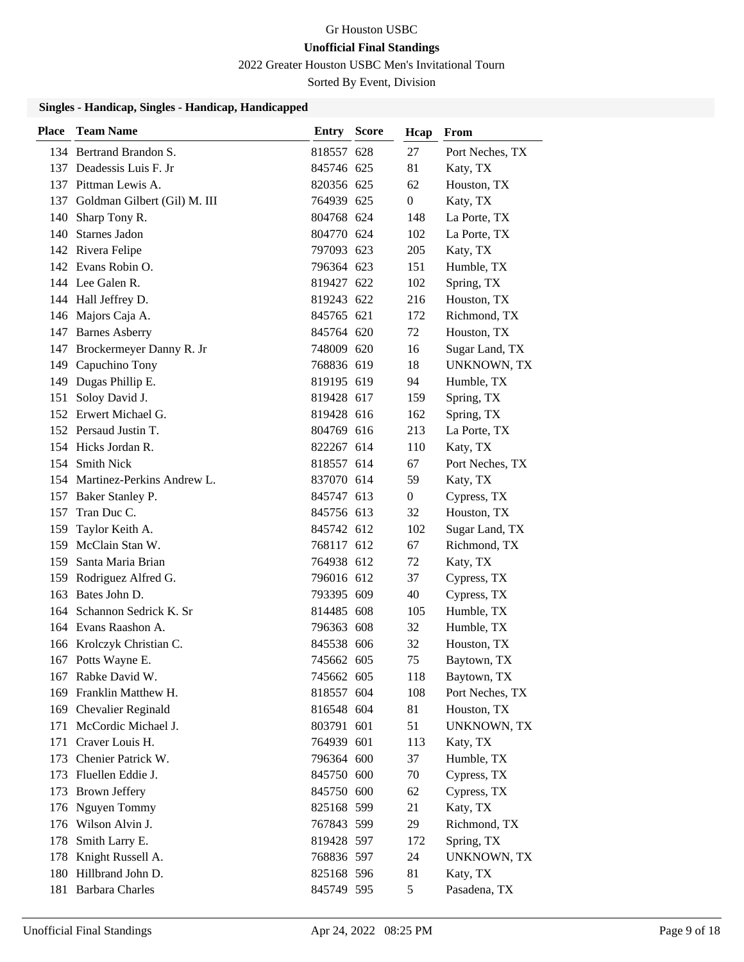2022 Greater Houston USBC Men's Invitational Tourn

Sorted By Event, Division

#### **Singles - Handicap, Singles - Handicap, Handicapped**

| <b>Place</b> | <b>Team Name</b>                 | <b>Entry Score</b> | Hcap           | From               |
|--------------|----------------------------------|--------------------|----------------|--------------------|
|              | 134 Bertrand Brandon S.          | 818557 628         | 27             | Port Neches, TX    |
|              | 137 Deadessis Luis F. Jr         | 845746 625         | 81             | Katy, TX           |
|              | 137 Pittman Lewis A.             | 820356 625         | 62             | Houston, TX        |
|              | 137 Goldman Gilbert (Gil) M. III | 764939 625         | $\overline{0}$ | Katy, TX           |
| 140          | Sharp Tony R.                    | 804768 624         | 148            | La Porte, TX       |
|              | 140 Starnes Jadon                | 804770 624         | 102            | La Porte, TX       |
|              | 142 Rivera Felipe                | 797093 623         | 205            | Katy, TX           |
|              | 142 Evans Robin O.               | 796364 623         | 151            | Humble, TX         |
|              | 144 Lee Galen R.                 | 819427 622         | 102            | Spring, TX         |
|              | 144 Hall Jeffrey D.              | 819243 622         | 216            | Houston, TX        |
|              | 146 Majors Caja A.               | 845765 621         | 172            | Richmond, TX       |
|              | 147 Barnes Asberry               | 845764 620         | 72             | Houston, TX        |
|              | 147 Brockermeyer Danny R. Jr     | 748009 620         | 16             | Sugar Land, TX     |
|              | 149 Capuchino Tony               | 768836 619         | 18             | <b>UNKNOWN, TX</b> |
|              | 149 Dugas Phillip E.             | 819195 619         | 94             | Humble, TX         |
| 151          | Soloy David J.                   | 819428 617         | 159            | Spring, TX         |
|              | 152 Erwert Michael G.            | 819428 616         | 162            | Spring, TX         |
|              | 152 Persaud Justin T.            | 804769 616         | 213            | La Porte, TX       |
|              | 154 Hicks Jordan R.              | 822267 614         | 110            | Katy, TX           |
|              | 154 Smith Nick                   | 818557 614         | 67             | Port Neches, TX    |
|              | 154 Martinez-Perkins Andrew L.   | 837070 614         | 59             | Katy, TX           |
|              | 157 Baker Stanley P.             | 845747 613         | $\overline{0}$ | Cypress, TX        |
| 157          | Tran Duc C.                      | 845756 613         | 32             | Houston, TX        |
| 159          | Taylor Keith A.                  | 845742 612         | 102            | Sugar Land, TX     |
|              | 159 McClain Stan W.              | 768117 612         | 67             | Richmond, TX       |
| 159          | Santa Maria Brian                | 764938 612         | 72             | Katy, TX           |
|              | 159 Rodriguez Alfred G.          | 796016 612         | 37             | Cypress, TX        |
| 163          | Bates John D.                    | 793395 609         | 40             | Cypress, TX        |
|              | 164 Schannon Sedrick K. Sr       | 814485 608         | 105            | Humble, TX         |
|              | 164 Evans Raashon A.             | 796363 608         | 32             | Humble, TX         |
|              | 166 Krolczyk Christian C.        | 845538 606         | 32             | Houston, TX        |
|              | 167 Potts Wayne E.               | 745662 605         | 75             | Baytown, TX        |
|              | 167 Rabke David W.               | 745662 605         | 118            | Baytown, TX        |
|              | 169 Franklin Matthew H.          | 818557 604         | 108            | Port Neches, TX    |
|              | 169 Chevalier Reginald           | 816548 604         | 81             | Houston, TX        |
| 171          | McCordic Michael J.              | 803791 601         | 51             | <b>UNKNOWN, TX</b> |
| 171          | Craver Louis H.                  | 764939 601         | 113            | Katy, TX           |
| 173          | Chenier Patrick W.               | 796364 600         | 37             | Humble, TX         |
| 173          | Fluellen Eddie J.                | 845750 600         | 70             | Cypress, TX        |
| 173          | <b>Brown Jeffery</b>             | 845750 600         | 62             | Cypress, TX        |
| 176          | Nguyen Tommy                     | 825168 599         | 21             | Katy, TX           |
|              | 176 Wilson Alvin J.              | 767843 599         | 29             | Richmond, TX       |
| 178          | Smith Larry E.                   | 819428 597         | 172            | Spring, TX         |
| 178          | Knight Russell A.                | 768836 597         | 24             | UNKNOWN, TX        |
|              | 180 Hillbrand John D.            | 825168 596         | 81             | Katy, TX           |
|              | 181 Barbara Charles              | 845749 595         | 5              | Pasadena, TX       |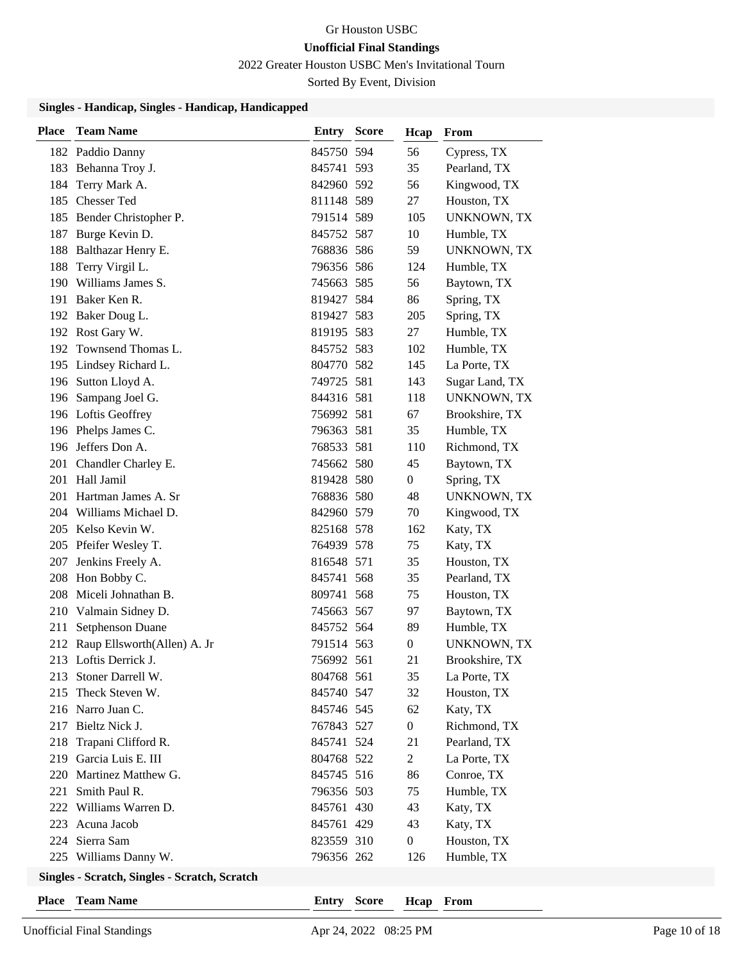2022 Greater Houston USBC Men's Invitational Tourn

Sorted By Event, Division

### **Singles - Handicap, Singles - Handicap, Handicapped**

| <b>Place</b> | <b>Team Name</b>                              | <b>Entry Score</b> | Hcap             | From               |
|--------------|-----------------------------------------------|--------------------|------------------|--------------------|
|              | 182 Paddio Danny                              | 845750 594         | 56               | Cypress, TX        |
|              | 183 Behanna Troy J.                           | 845741 593         | 35               | Pearland, TX       |
| 184          | Terry Mark A.                                 | 842960 592         | 56               | Kingwood, TX       |
|              | 185 Chesser Ted                               | 811148 589         | 27               | Houston, TX        |
|              | 185 Bender Christopher P.                     | 791514 589         | 105              | <b>UNKNOWN, TX</b> |
|              | 187 Burge Kevin D.                            | 845752 587         | 10               | Humble, TX         |
|              | 188 Balthazar Henry E.                        | 768836 586         | 59               | UNKNOWN, TX        |
| 188          | Terry Virgil L.                               | 796356 586         | 124              | Humble, TX         |
|              | 190 Williams James S.                         | 745663 585         | 56               | Baytown, TX        |
|              | 191 Baker Ken R.                              | 819427 584         | 86               | Spring, TX         |
|              | 192 Baker Doug L.                             | 819427 583         | 205              | Spring, TX         |
|              | 192 Rost Gary W.                              | 819195 583         | 27               | Humble, TX         |
|              | 192 Townsend Thomas L.                        | 845752 583         | 102              | Humble, TX         |
|              | 195 Lindsey Richard L.                        | 804770 582         | 145              | La Porte, TX       |
|              | 196 Sutton Lloyd A.                           | 749725 581         | 143              | Sugar Land, TX     |
|              | 196 Sampang Joel G.                           | 844316 581         | 118              | UNKNOWN, TX        |
|              | 196 Loftis Geoffrey                           | 756992 581         | 67               | Brookshire, TX     |
|              | 196 Phelps James C.                           | 796363 581         | 35               | Humble, TX         |
|              | 196 Jeffers Don A.                            | 768533 581         | 110              | Richmond, TX       |
|              | 201 Chandler Charley E.                       | 745662 580         | 45               | Baytown, TX        |
|              | 201 Hall Jamil                                | 819428 580         | 0                | Spring, TX         |
|              | 201 Hartman James A. Sr                       | 768836 580         | 48               | UNKNOWN, TX        |
|              | 204 Williams Michael D.                       | 842960 579         | 70               | Kingwood, TX       |
|              | 205 Kelso Kevin W.                            | 825168 578         | 162              | Katy, TX           |
|              | 205 Pfeifer Wesley T.                         | 764939 578         | 75               | Katy, TX           |
|              | 207 Jenkins Freely A.                         | 816548 571         | 35               | Houston, TX        |
|              | 208 Hon Bobby C.                              | 845741 568         | 35               | Pearland, TX       |
|              | 208 Miceli Johnathan B.                       | 809741 568         | 75               | Houston, TX        |
|              | 210 Valmain Sidney D.                         | 745663 567         | 97               | Baytown, TX        |
| 211          | Setphenson Duane                              | 845752 564         | 89               | Humble, TX         |
|              | 212 Raup Ellsworth(Allen) A. Jr               | 791514 563         | 0                | UNKNOWN, TX        |
|              | 213 Loftis Derrick J.                         | 756992 561         | 21               | Brookshire, TX     |
|              | 213 Stoner Darrell W.                         | 804768 561         | 35               | La Porte, TX       |
|              | 215 Theck Steven W.                           | 845740 547         | 32               | Houston, TX        |
|              | 216 Narro Juan C.                             | 845746 545         | 62               | Katy, TX           |
|              | 217 Bieltz Nick J.                            | 767843 527         | $\boldsymbol{0}$ | Richmond, TX       |
| 218          | Trapani Clifford R.                           | 845741 524         | 21               | Pearland, TX       |
|              | 219 Garcia Luis E. III                        | 804768 522         | $\overline{c}$   | La Porte, TX       |
|              | 220 Martinez Matthew G.                       | 845745 516         | 86               | Conroe, TX         |
|              | 221 Smith Paul R.                             | 796356 503         | 75               | Humble, TX         |
|              | 222 Williams Warren D.                        | 845761 430         | 43               | Katy, TX           |
|              | 223 Acuna Jacob                               | 845761 429         | 43               | Katy, TX           |
|              | 224 Sierra Sam                                | 823559 310         | $\boldsymbol{0}$ | Houston, TX        |
|              | 225 Williams Danny W.                         | 796356 262         | 126              | Humble, TX         |
|              | Singles - Scratch, Singles - Scratch, Scratch |                    |                  |                    |

**Place Team Name Entry Score**

**Hcap From**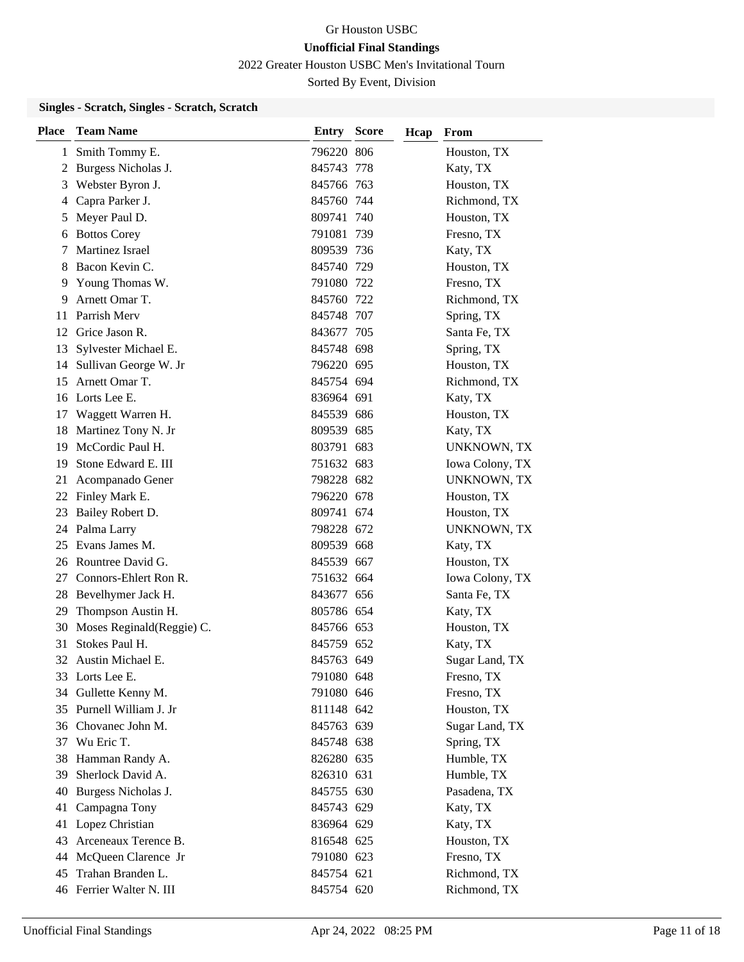2022 Greater Houston USBC Men's Invitational Tourn

Sorted By Event, Division

#### **Singles - Scratch, Singles - Scratch, Scratch**

| <b>Place</b> | <b>Team Name</b>          | <b>Entry Score</b> | Hcap | From            |
|--------------|---------------------------|--------------------|------|-----------------|
| 1            | Smith Tommy E.            | 796220 806         |      | Houston, TX     |
|              | 2 Burgess Nicholas J.     | 845743 778         |      | Katy, TX        |
| 3            | Webster Byron J.          | 845766 763         |      | Houston, TX     |
| 4            | Capra Parker J.           | 845760 744         |      | Richmond, TX    |
| 5            | Meyer Paul D.             | 809741 740         |      | Houston, TX     |
| 6            | <b>Bottos Corey</b>       | 791081 739         |      | Fresno, TX      |
| 7            | Martinez Israel           | 809539 736         |      | Katy, TX        |
| 8            | Bacon Kevin C.            | 845740 729         |      | Houston, TX     |
| 9            | Young Thomas W.           | 791080 722         |      | Fresno, TX      |
| 9            | Arnett Omar T.            | 845760 722         |      | Richmond, TX    |
| 11           | Parrish Merv              | 845748 707         |      | Spring, TX      |
|              | 12 Grice Jason R.         | 843677 705         |      | Santa Fe, TX    |
| 13           | Sylvester Michael E.      | 845748 698         |      | Spring, TX      |
|              | 14 Sullivan George W. Jr  | 796220 695         |      | Houston, TX     |
| 15           | Arnett Omar T.            | 845754 694         |      | Richmond, TX    |
|              | 16 Lorts Lee E.           | 836964 691         |      | Katy, TX        |
| 17           | Waggett Warren H.         | 845539 686         |      | Houston, TX     |
| 18           | Martinez Tony N. Jr       | 809539 685         |      | Katy, TX        |
| 19           | McCordic Paul H.          | 803791 683         |      | UNKNOWN, TX     |
| 19           | Stone Edward E. III       | 751632 683         |      | Iowa Colony, TX |
| 21           | Acompanado Gener          | 798228 682         |      | UNKNOWN, TX     |
|              | 22 Finley Mark E.         | 796220 678         |      | Houston, TX     |
| 23           | Bailey Robert D.          | 809741 674         |      | Houston, TX     |
| 24           | Palma Larry               | 798228 672         |      | UNKNOWN, TX     |
| 25           | Evans James M.            | 809539 668         |      | Katy, TX        |
|              | 26 Rountree David G.      | 845539 667         |      | Houston, TX     |
| 27           | Connors-Ehlert Ron R.     | 751632 664         |      | Iowa Colony, TX |
|              | 28 Bevelhymer Jack H.     | 843677 656         |      | Santa Fe, TX    |
| 29           | Thompson Austin H.        | 805786 654         |      | Katy, TX        |
| 30           | Moses Reginald(Reggie) C. | 845766 653         |      | Houston, TX     |
| 31           | Stokes Paul H.            | 845759 652         |      | Katy, TX        |
|              | 32 Austin Michael E.      | 845763 649         |      | Sugar Land, TX  |
|              | 33 Lorts Lee E.           | 791080 648         |      | Fresno, TX      |
| 34           | Gullette Kenny M.         | 791080 646         |      | Fresno, TX      |
|              | 35 Purnell William J. Jr  | 811148 642         |      | Houston, TX     |
|              | 36 Chovanec John M.       | 845763 639         |      | Sugar Land, TX  |
| 37           | Wu Eric T.                | 845748 638         |      | Spring, TX      |
| 38           | Hamman Randy A.           | 826280 635         |      | Humble, TX      |
| 39           | Sherlock David A.         | 826310 631         |      | Humble, TX      |
| 40           | Burgess Nicholas J.       | 845755 630         |      | Pasadena, TX    |
| 41           | Campagna Tony             | 845743 629         |      | Katy, TX        |
| 41           | Lopez Christian           | 836964 629         |      | Katy, TX        |
| 43           | Arceneaux Terence B.      | 816548 625         |      | Houston, TX     |
| 44           | McQueen Clarence Jr       | 791080 623         |      | Fresno, TX      |
| 45           | Trahan Branden L.         | 845754 621         |      | Richmond, TX    |
|              | 46 Ferrier Walter N. III  | 845754 620         |      | Richmond, TX    |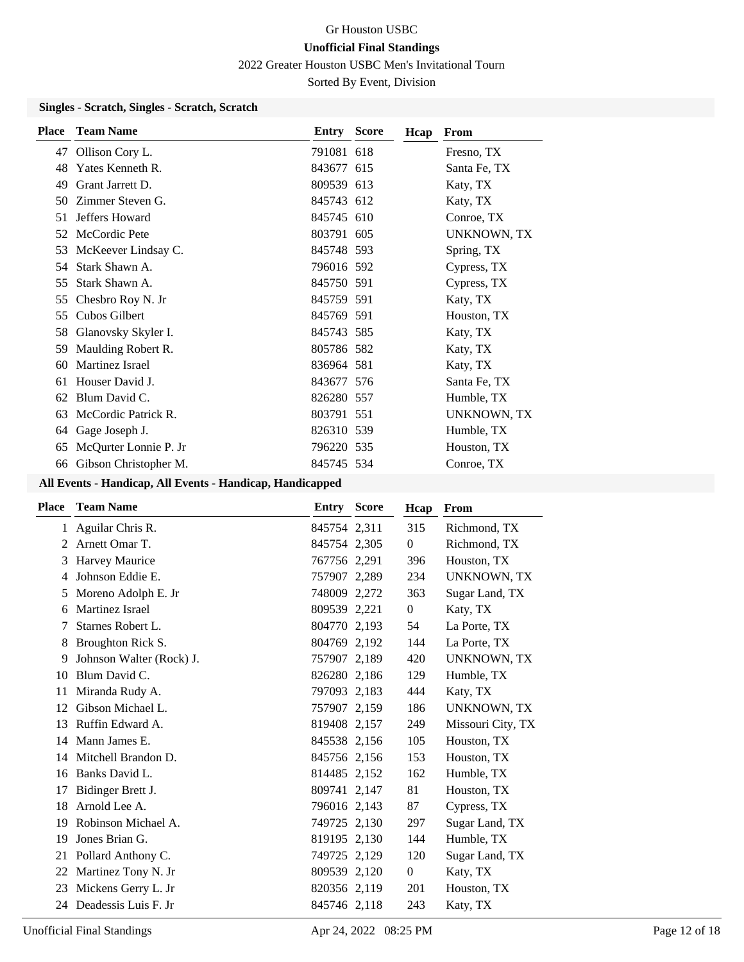2022 Greater Houston USBC Men's Invitational Tourn

Sorted By Event, Division

#### **Singles - Scratch, Singles - Scratch, Scratch**

| <b>Place</b> | <b>Team Name</b>      | Entry      | <b>Score</b> | Hcap | From               |
|--------------|-----------------------|------------|--------------|------|--------------------|
| 47           | Ollison Cory L.       | 791081 618 |              |      | Fresno, TX         |
| 48           | Yates Kenneth R.      | 843677 615 |              |      | Santa Fe, TX       |
| 49           | Grant Jarrett D.      | 809539 613 |              |      | Katy, TX           |
| 50           | Zimmer Steven G.      | 845743 612 |              |      | Katy, TX           |
| 51           | Jeffers Howard        | 845745 610 |              |      | Conroe, TX         |
| 52           | McCordic Pete         | 803791 605 |              |      | <b>UNKNOWN, TX</b> |
| 53           | McKeever Lindsay C.   | 845748 593 |              |      | Spring, TX         |
| 54           | Stark Shawn A.        | 796016 592 |              |      | Cypress, TX        |
| 55           | Stark Shawn A.        | 845750 591 |              |      | Cypress, TX        |
| 55           | Chesbro Roy N. Jr     | 845759 591 |              |      | Katy, TX           |
| 55           | Cubos Gilbert         | 845769 591 |              |      | Houston, TX        |
| 58           | Glanovsky Skyler I.   | 845743 585 |              |      | Katy, TX           |
| 59           | Maulding Robert R.    | 805786 582 |              |      | Katy, TX           |
| 60           | Martinez Israel       | 836964 581 |              |      | Katy, TX           |
| 61           | Houser David J.       | 843677 576 |              |      | Santa Fe, TX       |
| 62           | Blum David C.         | 826280 557 |              |      | Humble, TX         |
| 63           | McCordic Patrick R.   | 803791 551 |              |      | <b>UNKNOWN, TX</b> |
| 64           | Gage Joseph J.        | 826310 539 |              |      | Humble, TX         |
| 65           | McQurter Lonnie P. Jr | 796220 535 |              |      | Houston, TX        |
| 66           | Gibson Christopher M. | 845745 534 |              |      | Conroe, TX         |

| <b>Place</b>                | <b>Team Name</b>         | Entry        | <b>Score</b> | Hcap             | From               |
|-----------------------------|--------------------------|--------------|--------------|------------------|--------------------|
|                             | 1 Aguilar Chris R.       | 845754 2,311 |              | 315              | Richmond, TX       |
| $\mathcal{D}_{\mathcal{L}}$ | Arnett Omar T.           | 845754 2,305 |              | $\mathbf{0}$     | Richmond, TX       |
| 3                           | Harvey Maurice           | 767756 2,291 |              | 396              | Houston, TX        |
| 4                           | Johnson Eddie E.         | 757907 2,289 |              | 234              | <b>UNKNOWN, TX</b> |
| 5                           | Moreno Adolph E. Jr      | 748009 2,272 |              | 363              | Sugar Land, TX     |
| 6                           | Martinez Israel          | 809539 2,221 |              | $\overline{0}$   | Katy, TX           |
| 7                           | Starnes Robert L.        | 804770 2,193 |              | 54               | La Porte, TX       |
| 8                           | Broughton Rick S.        | 804769 2,192 |              | 144              | La Porte, TX       |
| 9                           | Johnson Walter (Rock) J. | 757907 2,189 |              | 420              | <b>UNKNOWN, TX</b> |
| 10                          | Blum David C.            | 826280 2,186 |              | 129              | Humble, TX         |
| 11                          | Miranda Rudy A.          | 797093 2,183 |              | 444              | Katy, TX           |
| 12                          | Gibson Michael L.        | 757907 2,159 |              | 186              | <b>UNKNOWN, TX</b> |
| 13                          | Ruffin Edward A.         | 819408 2,157 |              | 249              | Missouri City, TX  |
| 14                          | Mann James E.            | 845538 2,156 |              | 105              | Houston, TX        |
| 14                          | Mitchell Brandon D.      | 845756 2,156 |              | 153              | Houston, TX        |
| 16                          | Banks David L.           | 814485 2,152 |              | 162              | Humble, TX         |
| 17                          | Bidinger Brett J.        | 809741 2,147 |              | 81               | Houston, TX        |
| 18                          | Arnold Lee A.            | 796016 2,143 |              | 87               | Cypress, TX        |
| 19                          | Robinson Michael A.      | 749725 2,130 |              | 297              | Sugar Land, TX     |
| 19                          | Jones Brian G.           | 819195 2,130 |              | 144              | Humble, TX         |
| 21                          | Pollard Anthony C.       | 749725 2,129 |              | 120              | Sugar Land, TX     |
| 22                          | Martinez Tony N. Jr      | 809539 2,120 |              | $\boldsymbol{0}$ | Katy, TX           |
| 23                          | Mickens Gerry L. Jr      | 820356 2,119 |              | 201              | Houston, TX        |
| 24                          | Deadessis Luis F. Jr.    | 845746 2,118 |              | 243              | Katy, TX           |
|                             |                          |              |              |                  |                    |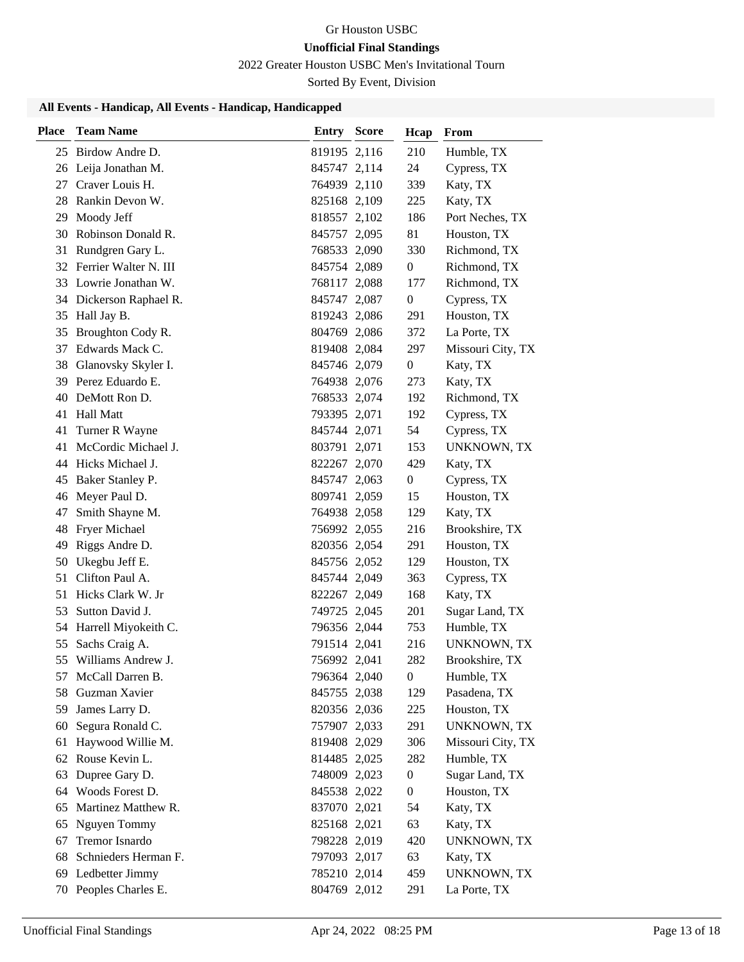2022 Greater Houston USBC Men's Invitational Tourn

Sorted By Event, Division

| <b>Place</b> | <b>Team Name</b>         | <b>Entry Score</b> | Hcap             | From              |
|--------------|--------------------------|--------------------|------------------|-------------------|
|              | 25 Birdow Andre D.       | 819195 2,116       | 210              | Humble, TX        |
|              | 26 Leija Jonathan M.     | 845747 2,114       | 24               | Cypress, TX       |
|              | 27 Craver Louis H.       | 764939 2,110       | 339              | Katy, TX          |
|              | 28 Rankin Devon W.       | 825168 2,109       | 225              | Katy, TX          |
| 29           | Moody Jeff               | 818557 2,102       | 186              | Port Neches, TX   |
| 30           | Robinson Donald R.       | 845757 2,095       | 81               | Houston, TX       |
| 31           | Rundgren Gary L.         | 768533 2,090       | 330              | Richmond, TX      |
|              | 32 Ferrier Walter N. III | 845754 2,089       | $\boldsymbol{0}$ | Richmond, TX      |
|              | 33 Lowrie Jonathan W.    | 768117 2,088       | 177              | Richmond, TX      |
| 34           | Dickerson Raphael R.     | 845747 2,087       | $\boldsymbol{0}$ | Cypress, TX       |
|              | 35 Hall Jay B.           | 819243 2,086       | 291              | Houston, TX       |
| 35           | Broughton Cody R.        | 804769 2,086       | 372              | La Porte, TX      |
| 37           | Edwards Mack C.          | 819408 2,084       | 297              | Missouri City, TX |
| 38           | Glanovsky Skyler I.      | 845746 2,079       | $\boldsymbol{0}$ | Katy, TX          |
|              | 39 Perez Eduardo E.      | 764938 2,076       | 273              | Katy, TX          |
|              | 40 DeMott Ron D.         | 768533 2,074       | 192              | Richmond, TX      |
| 41           | <b>Hall Matt</b>         | 793395 2,071       | 192              | Cypress, TX       |
| 41           | Turner R Wayne           | 845744 2,071       | 54               | Cypress, TX       |
| 41           | McCordic Michael J.      | 803791 2,071       | 153              | UNKNOWN, TX       |
|              | 44 Hicks Michael J.      | 822267 2,070       | 429              | Katy, TX          |
| 45           | Baker Stanley P.         | 845747 2,063       | $\boldsymbol{0}$ | Cypress, TX       |
|              | 46 Meyer Paul D.         | 809741 2,059       | 15               | Houston, TX       |
| 47           | Smith Shayne M.          | 764938 2,058       | 129              | Katy, TX          |
| 48           | Fryer Michael            | 756992 2,055       | 216              | Brookshire, TX    |
| 49           | Riggs Andre D.           | 820356 2,054       | 291              | Houston, TX       |
| 50           | Ukegbu Jeff E.           | 845756 2,052       | 129              | Houston, TX       |
| 51           | Clifton Paul A.          | 845744 2,049       | 363              | Cypress, TX       |
|              | 51 Hicks Clark W. Jr     | 822267 2,049       | 168              | Katy, TX          |
| 53           | Sutton David J.          | 749725 2,045       | 201              | Sugar Land, TX    |
| 54           | Harrell Miyokeith C.     | 796356 2,044       | 753              | Humble, TX        |
| 55           | Sachs Craig A.           | 791514 2,041       | 216              | UNKNOWN, TX       |
| 55           | Williams Andrew J.       | 756992 2,041       | 282              | Brookshire, TX    |
| 57           | McCall Darren B.         | 796364 2,040       | $\boldsymbol{0}$ | Humble, TX        |
| 58           | Guzman Xavier            | 845755 2,038       | 129              | Pasadena, TX      |
| 59           | James Larry D.           | 820356 2,036       | 225              | Houston, TX       |
| 60           | Segura Ronald C.         | 757907 2,033       | 291              | UNKNOWN, TX       |
| 61           | Haywood Willie M.        | 819408 2,029       | 306              | Missouri City, TX |
|              | 62 Rouse Kevin L.        | 814485 2,025       | 282              | Humble, TX        |
| 63           | Dupree Gary D.           | 748009 2,023       | $\boldsymbol{0}$ | Sugar Land, TX    |
|              | 64 Woods Forest D.       | 845538 2,022       | $\boldsymbol{0}$ | Houston, TX       |
| 65           | Martinez Matthew R.      | 837070 2,021       | 54               | Katy, TX          |
| 65           | Nguyen Tommy             | 825168 2,021       | 63               | Katy, TX          |
| 67           | Tremor Isnardo           | 798228 2,019       | 420              | UNKNOWN, TX       |
| 68           | Schnieders Herman F.     | 797093 2,017       | 63               | Katy, TX          |
| 69           | Ledbetter Jimmy          | 785210 2,014       | 459              | UNKNOWN, TX       |
| 70           | Peoples Charles E.       | 804769 2,012       | 291              | La Porte, TX      |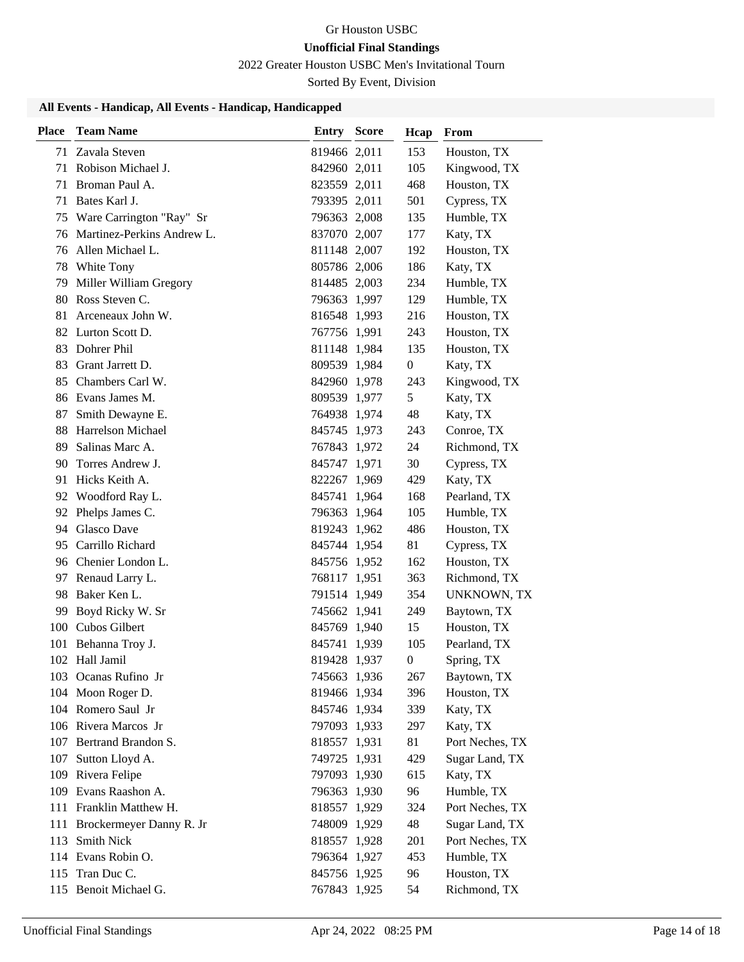2022 Greater Houston USBC Men's Invitational Tourn

Sorted By Event, Division

| <b>Place</b> | <b>Team Name</b>              | <b>Entry Score</b> | Hcap             | From               |
|--------------|-------------------------------|--------------------|------------------|--------------------|
|              | 71 Zavala Steven              | 819466 2,011       | 153              | Houston, TX        |
| 71           | Robison Michael J.            | 842960 2,011       | 105              | Kingwood, TX       |
|              | 71 Broman Paul A.             | 823559 2,011       | 468              | Houston, TX        |
| 71           | Bates Karl J.                 | 793395 2,011       | 501              | Cypress, TX        |
| 75           | Ware Carrington "Ray" Sr      | 796363 2,008       | 135              | Humble, TX         |
|              | 76 Martinez-Perkins Andrew L. | 837070 2,007       | 177              | Katy, TX           |
|              | 76 Allen Michael L.           | 811148 2,007       | 192              | Houston, TX        |
| 78           | White Tony                    | 805786 2,006       | 186              | Katy, TX           |
| 79           | Miller William Gregory        | 814485 2,003       | 234              | Humble, TX         |
|              | 80 Ross Steven C.             | 796363 1,997       | 129              | Humble, TX         |
|              | 81 Arceneaux John W.          | 816548 1,993       | 216              | Houston, TX        |
|              | 82 Lurton Scott D.            | 767756 1,991       | 243              | Houston, TX        |
|              | 83 Dohrer Phil                | 811148 1,984       | 135              | Houston, TX        |
|              | 83 Grant Jarrett D.           | 809539 1,984       | 0                | Katy, TX           |
|              | 85 Chambers Carl W.           | 842960 1,978       | 243              | Kingwood, TX       |
|              | 86 Evans James M.             | 809539 1,977       | 5                | Katy, TX           |
| 87           | Smith Dewayne E.              | 764938 1,974       | 48               | Katy, TX           |
| 88           | Harrelson Michael             | 845745 1,973       | 243              | Conroe, TX         |
|              | 89 Salinas Marc A.            | 767843 1,972       | 24               | Richmond, TX       |
| 90           | Torres Andrew J.              | 845747 1,971       | 30               | Cypress, TX        |
| 91           | Hicks Keith A.                | 822267 1,969       | 429              | Katy, TX           |
|              | 92 Woodford Ray L.            | 845741 1,964       | 168              | Pearland, TX       |
|              | 92 Phelps James C.            | 796363 1,964       | 105              | Humble, TX         |
|              | 94 Glasco Dave                | 819243 1,962       | 486              | Houston, TX        |
| 95           | Carrillo Richard              | 845744 1,954       | 81               | Cypress, TX        |
|              | 96 Chenier London L.          | 845756 1,952       | 162              | Houston, TX        |
|              | 97 Renaud Larry L.            | 768117 1,951       | 363              | Richmond, TX       |
| 98           | Baker Ken L.                  | 791514 1,949       | 354              | <b>UNKNOWN, TX</b> |
| 99           | Boyd Ricky W. Sr              | 745662 1,941       | 249              | Baytown, TX        |
|              | 100 Cubos Gilbert             | 845769 1,940       | 15               | Houston, TX        |
|              | 101 Behanna Troy J.           | 845741 1,939       | 105              | Pearland, TX       |
|              | 102 Hall Jamil                | 819428 1,937       | $\boldsymbol{0}$ | Spring, TX         |
|              | 103 Ocanas Rufino Jr          | 745663 1,936       | 267              | Baytown, TX        |
|              | 104 Moon Roger D.             | 819466 1,934       | 396              | Houston, TX        |
|              | 104 Romero Saul Jr            | 845746 1,934       | 339              | Katy, TX           |
|              | 106 Rivera Marcos Jr          | 797093 1,933       | 297              | Katy, TX           |
|              | 107 Bertrand Brandon S.       | 818557 1,931       | 81               | Port Neches, TX    |
| 107          | Sutton Lloyd A.               | 749725 1,931       | 429              | Sugar Land, TX     |
|              | 109 Rivera Felipe             | 797093 1,930       | 615              | Katy, TX           |
|              | 109 Evans Raashon A.          | 796363 1,930       | 96               | Humble, TX         |
|              | 111 Franklin Matthew H.       | 818557 1,929       | 324              | Port Neches, TX    |
|              | 111 Brockermeyer Danny R. Jr  | 748009 1,929       | 48               | Sugar Land, TX     |
|              | 113 Smith Nick                | 818557 1,928       | 201              | Port Neches, TX    |
|              | 114 Evans Robin O.            | 796364 1,927       | 453              | Humble, TX         |
|              | 115 Tran Duc C.               | 845756 1,925       | 96               | Houston, TX        |
|              | 115 Benoit Michael G.         | 767843 1,925       | 54               | Richmond, TX       |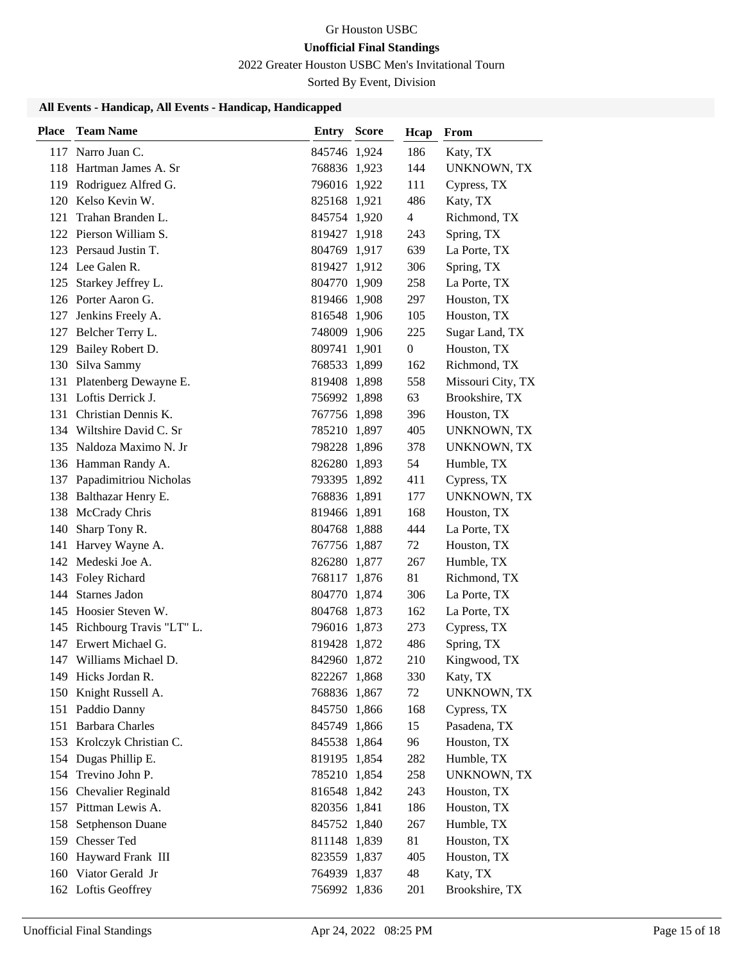2022 Greater Houston USBC Men's Invitational Tourn

Sorted By Event, Division

| Place | <b>Team Name</b>             | <b>Entry Score</b> | Hcap | From               |
|-------|------------------------------|--------------------|------|--------------------|
|       | 117 Narro Juan C.            | 845746 1,924       | 186  | Katy, TX           |
|       | 118 Hartman James A. Sr      | 768836 1,923       | 144  | UNKNOWN, TX        |
|       | 119 Rodriguez Alfred G.      | 796016 1,922       | 111  | Cypress, TX        |
|       | 120 Kelso Kevin W.           | 825168 1,921       | 486  | Katy, TX           |
| 121   | Trahan Branden L.            | 845754 1,920       | 4    | Richmond, TX       |
|       | 122 Pierson William S.       | 819427 1,918       | 243  | Spring, TX         |
|       | 123 Persaud Justin T.        | 804769 1,917       | 639  | La Porte, TX       |
|       | 124 Lee Galen R.             | 819427 1,912       | 306  | Spring, TX         |
| 125   | Starkey Jeffrey L.           | 804770 1,909       | 258  | La Porte, TX       |
|       | 126 Porter Aaron G.          | 819466 1,908       | 297  | Houston, TX        |
|       | 127 Jenkins Freely A.        | 816548 1,906       | 105  | Houston, TX        |
|       | 127 Belcher Terry L.         | 748009 1,906       | 225  | Sugar Land, TX     |
|       | 129 Bailey Robert D.         | 809741 1,901       | 0    | Houston, TX        |
|       | 130 Silva Sammy              | 768533 1,899       | 162  | Richmond, TX       |
|       | 131 Platenberg Dewayne E.    | 819408 1,898       | 558  | Missouri City, TX  |
|       | 131 Loftis Derrick J.        | 756992 1,898       | 63   | Brookshire, TX     |
|       | 131 Christian Dennis K.      | 767756 1,898       | 396  | Houston, TX        |
|       | 134 Wiltshire David C. Sr    | 785210 1,897       | 405  | UNKNOWN, TX        |
|       | 135 Naldoza Maximo N. Jr     | 798228 1,896       | 378  | <b>UNKNOWN, TX</b> |
|       | 136 Hamman Randy A.          | 826280 1,893       | 54   | Humble, TX         |
|       | 137 Papadimitriou Nicholas   | 793395 1,892       | 411  | Cypress, TX        |
|       | 138 Balthazar Henry E.       | 768836 1,891       | 177  | UNKNOWN, TX        |
|       | 138 McCrady Chris            | 819466 1,891       | 168  | Houston, TX        |
|       | 140 Sharp Tony R.            | 804768 1,888       | 444  | La Porte, TX       |
|       | 141 Harvey Wayne A.          | 767756 1,887       | 72   | Houston, TX        |
|       | 142 Medeski Joe A.           | 826280 1,877       | 267  | Humble, TX         |
|       | 143 Foley Richard            | 768117 1,876       | 81   | Richmond, TX       |
|       | 144 Starnes Jadon            | 804770 1,874       | 306  | La Porte, TX       |
|       | 145 Hoosier Steven W.        | 804768 1,873       | 162  | La Porte, TX       |
|       | 145 Richbourg Travis "LT" L. | 796016 1,873       | 273  | Cypress, TX        |
|       | 147 Erwert Michael G.        | 819428 1,872       | 486  | Spring, TX         |
|       | 147 Williams Michael D.      | 842960 1,872       | 210  | Kingwood, TX       |
|       | 149 Hicks Jordan R.          | 822267 1,868       | 330  | Katy, TX           |
|       | 150 Knight Russell A.        | 768836 1,867       | 72   | UNKNOWN, TX        |
|       | 151 Paddio Danny             | 845750 1,866       | 168  | Cypress, TX        |
|       | 151 Barbara Charles          | 845749 1,866       | 15   | Pasadena, TX       |
|       | 153 Krolczyk Christian C.    | 845538 1,864       | 96   | Houston, TX        |
|       | 154 Dugas Phillip E.         | 819195 1,854       | 282  | Humble, TX         |
|       | 154 Trevino John P.          | 785210 1,854       | 258  | UNKNOWN, TX        |
|       | 156 Chevalier Reginald       | 816548 1,842       | 243  | Houston, TX        |
|       | 157 Pittman Lewis A.         | 820356 1,841       | 186  | Houston, TX        |
|       | 158 Setphenson Duane         | 845752 1,840       | 267  | Humble, TX         |
|       | 159 Chesser Ted              | 811148 1,839       | 81   | Houston, TX        |
|       | 160 Hayward Frank III        | 823559 1,837       | 405  | Houston, TX        |
|       | 160 Viator Gerald Jr         | 764939 1,837       | 48   | Katy, TX           |
|       | 162 Loftis Geoffrey          | 756992 1,836       | 201  | Brookshire, TX     |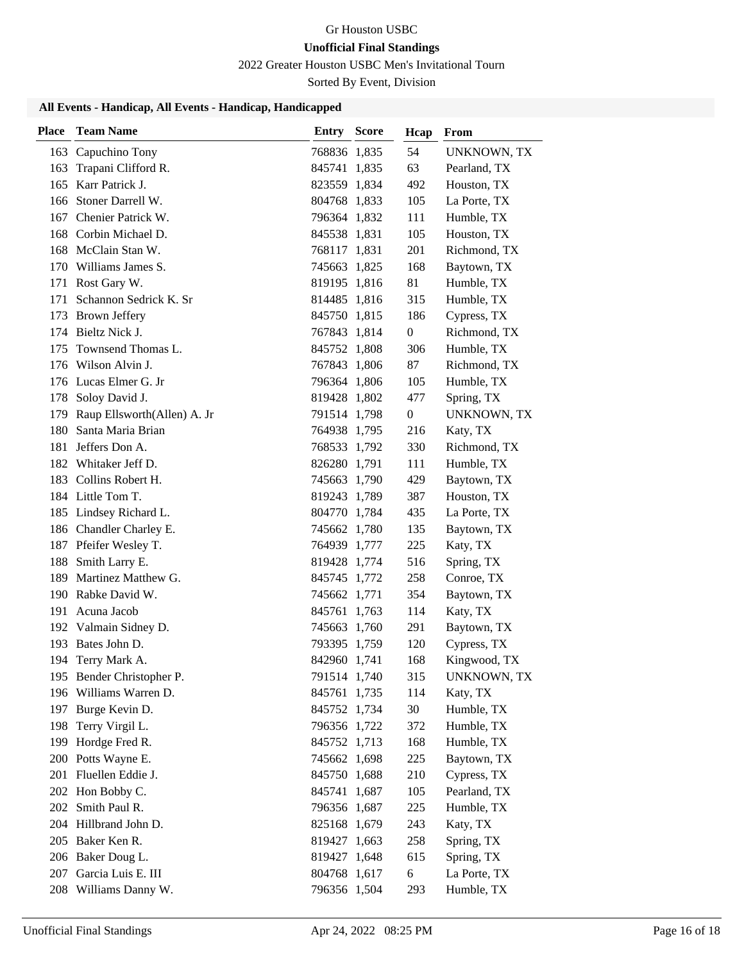2022 Greater Houston USBC Men's Invitational Tourn

Sorted By Event, Division

| Place | <b>Team Name</b>                            | <b>Entry Score</b>           | Hcap             | From                        |
|-------|---------------------------------------------|------------------------------|------------------|-----------------------------|
| 163   | Capuchino Tony                              | 768836 1,835                 | 54               | <b>UNKNOWN, TX</b>          |
| 163   | Trapani Clifford R.                         | 845741 1,835                 | 63               | Pearland, TX                |
|       | 165 Karr Patrick J.                         | 823559 1,834                 | 492              | Houston, TX                 |
|       | 166 Stoner Darrell W.                       | 804768 1,833                 | 105              | La Porte, TX                |
| 167   | Chenier Patrick W.                          | 796364 1,832                 | 111              | Humble, TX                  |
| 168   | Corbin Michael D.                           | 845538 1,831                 | 105              | Houston, TX                 |
| 168   | McClain Stan W.                             | 768117 1,831                 | 201              | Richmond, TX                |
|       | 170 Williams James S.                       | 745663 1,825                 | 168              | Baytown, TX                 |
|       | 171 Rost Gary W.                            | 819195 1,816                 | 81               | Humble, TX                  |
| 171   | Schannon Sedrick K. Sr                      | 814485 1,816                 | 315              | Humble, TX                  |
|       | 173 Brown Jeffery                           | 845750 1,815                 | 186              | Cypress, TX                 |
|       | 174 Bieltz Nick J.                          | 767843 1,814                 | $\boldsymbol{0}$ | Richmond, TX                |
| 175   | Townsend Thomas L.                          | 845752 1,808                 | 306              | Humble, TX                  |
|       | 176 Wilson Alvin J.                         | 767843 1,806                 | 87               | Richmond, TX                |
|       | 176 Lucas Elmer G. Jr                       | 796364 1,806                 | 105              | Humble, TX                  |
|       | 178 Soloy David J.                          | 819428 1,802                 | 477              | Spring, TX                  |
| 179   | Raup Ellsworth(Allen) A. Jr                 | 791514 1,798                 | 0                | UNKNOWN, TX                 |
| 180   | Santa Maria Brian                           | 764938 1,795                 | 216              | Katy, TX                    |
| 181   | Jeffers Don A.                              | 768533 1,792                 | 330              | Richmond, TX                |
|       | 182 Whitaker Jeff D.                        | 826280 1,791                 | 111              | Humble, TX                  |
| 183   | Collins Robert H.                           | 745663 1,790                 | 429              | Baytown, TX                 |
|       | 184 Little Tom T.                           | 819243 1,789                 | 387              | Houston, TX                 |
|       | 185 Lindsey Richard L.                      | 804770 1,784                 | 435              | La Porte, TX                |
|       | 186 Chandler Charley E.                     | 745662 1,780                 | 135              | Baytown, TX                 |
|       | 187 Pfeifer Wesley T.                       | 764939 1,777                 | 225              | Katy, TX                    |
| 188   | Smith Larry E.                              | 819428 1,774                 | 516              | Spring, TX                  |
| 189   | Martinez Matthew G.                         | 845745 1,772                 | 258              | Conroe, TX                  |
|       | 190 Rabke David W.                          | 745662 1,771                 | 354              | Baytown, TX                 |
| 191   | Acuna Jacob                                 | 845761 1,763                 | 114              | Katy, TX                    |
|       | 192 Valmain Sidney D.                       | 745663 1,760                 | 291              | Baytown, TX                 |
|       | 193 Bates John D.                           | 793395 1,759                 | 120              | Cypress, TX                 |
| 194   | Terry Mark A.                               | 842960 1,741                 | 168              | Kingwood, TX                |
|       | 195 Bender Christopher P.                   | 791514 1,740                 | 315              | UNKNOWN, TX                 |
|       | 196 Williams Warren D.                      | 845761 1,735                 | 114              | Katy, TX                    |
|       | 197 Burge Kevin D.                          | 845752 1,734                 | 30               | Humble, TX                  |
| 198   | Terry Virgil L.                             | 796356 1,722                 | 372              | Humble, TX                  |
| 199   | Hordge Fred R.                              | 845752 1,713                 | 168              | Humble, TX                  |
|       | 200 Potts Wayne E.                          | 745662 1,698                 | 225              | Baytown, TX                 |
| 201   | Fluellen Eddie J.                           | 845750 1,688<br>845741 1,687 | 210              | Cypress, TX<br>Pearland, TX |
|       | 202 Hon Bobby C.<br>Smith Paul R.           |                              | 105              |                             |
| 202   | 204 Hillbrand John D.                       | 796356 1,687                 | 225              | Humble, TX                  |
|       | 205 Baker Ken R.                            | 825168 1,679                 | 243<br>258       | Katy, TX<br>Spring, TX      |
|       |                                             | 819427 1,663                 | 615              |                             |
|       | 206 Baker Doug L.<br>207 Garcia Luis E. III | 819427 1,648                 |                  | Spring, TX                  |
|       |                                             | 804768 1,617                 | 6                | La Porte, TX                |
|       | 208 Williams Danny W.                       | 796356 1,504                 | 293              | Humble, TX                  |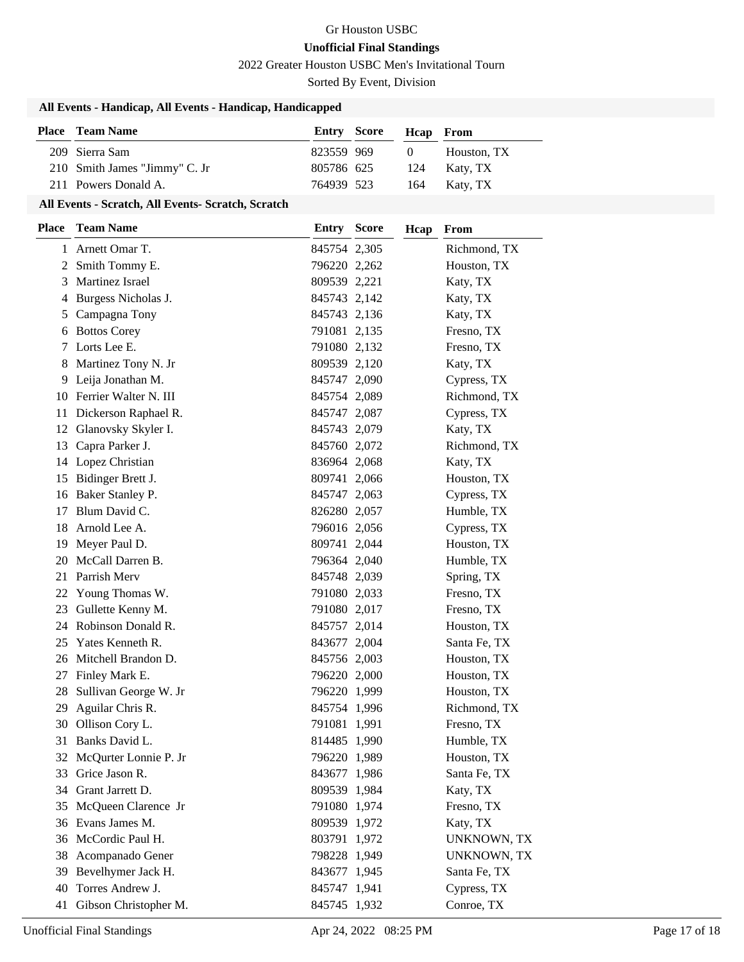2022 Greater Houston USBC Men's Invitational Tourn

Sorted By Event, Division

### **All Events - Handicap, All Events - Handicap, Handicapped**

| <b>Place</b> Team Name        | <b>Entry Score</b> | <b>Heap</b> From |              |
|-------------------------------|--------------------|------------------|--------------|
| 209 Sierra Sam                | 823559 969         | $\sqrt{1}$       | Houston. TX  |
| 210 Smith James "Jimmy" C. Jr | 805786 625         |                  | 124 Katy, TX |
| 211 Powers Donald A.          | 764939 523         |                  | 164 Katy, TX |

#### **All Events - Scratch, All Events- Scratch, Scratch**

| <b>Place</b> | <b>Team Name</b>         | <b>Entry Score</b> | Hcap | From               |
|--------------|--------------------------|--------------------|------|--------------------|
|              | 1 Arnett Omar T.         | 845754 2,305       |      | Richmond, TX       |
| 2            | Smith Tommy E.           | 796220 2,262       |      | Houston, TX        |
|              | 3 Martinez Israel        | 809539 2,221       |      | Katy, TX           |
|              | 4 Burgess Nicholas J.    | 845743 2,142       |      | Katy, TX           |
| 5            | Campagna Tony            | 845743 2,136       |      | Katy, TX           |
| 6            | <b>Bottos Corey</b>      | 791081 2,135       |      | Fresno, TX         |
| 7            | Lorts Lee E.             | 791080 2,132       |      | Fresno, TX         |
|              | 8 Martinez Tony N. Jr    | 809539 2,120       |      | Katy, TX           |
|              | 9 Leija Jonathan M.      | 845747 2,090       |      | Cypress, TX        |
|              | 10 Ferrier Walter N. III | 845754 2,089       |      | Richmond, TX       |
| 11           | Dickerson Raphael R.     | 845747 2,087       |      | Cypress, TX        |
|              | 12 Glanovsky Skyler I.   | 845743 2,079       |      | Katy, TX           |
| 13           | Capra Parker J.          | 845760 2,072       |      | Richmond, TX       |
| 14           | Lopez Christian          | 836964 2,068       |      | Katy, TX           |
| 15           | Bidinger Brett J.        | 809741 2,066       |      | Houston, TX        |
|              | 16 Baker Stanley P.      | 845747 2,063       |      | Cypress, TX        |
| 17           | Blum David C.            | 826280 2,057       |      | Humble, TX         |
| 18           | Arnold Lee A.            | 796016 2,056       |      | Cypress, TX        |
| 19           | Meyer Paul D.            | 809741 2,044       |      | Houston, TX        |
| 20           | McCall Darren B.         | 796364 2,040       |      | Humble, TX         |
| 21           | Parrish Merv             | 845748 2,039       |      | Spring, TX         |
| 22           | Young Thomas W.          | 791080 2,033       |      | Fresno, TX         |
| 23           | Gullette Kenny M.        | 791080 2,017       |      | Fresno, TX         |
| 24           | Robinson Donald R.       | 845757 2,014       |      | Houston, TX        |
| 25           | Yates Kenneth R.         | 843677 2,004       |      | Santa Fe, TX       |
| 26           | Mitchell Brandon D.      | 845756 2,003       |      | Houston, TX        |
| 27           | Finley Mark E.           | 796220 2,000       |      | Houston, TX        |
| 28           | Sullivan George W. Jr    | 796220 1,999       |      | Houston, TX        |
| 29           | Aguilar Chris R.         | 845754 1,996       |      | Richmond, TX       |
| 30           | Ollison Cory L.          | 791081 1,991       |      | Fresno, TX         |
| 31           | Banks David L.           | 814485 1,990       |      | Humble, TX         |
| 32           | McQurter Lonnie P. Jr    | 796220 1,989       |      | Houston, TX        |
|              | 33 Grice Jason R.        | 843677 1,986       |      | Santa Fe, TX       |
| 34           | Grant Jarrett D.         | 809539 1,984       |      | Katy, TX           |
|              | 35 McQueen Clarence Jr   | 791080 1,974       |      | Fresno, TX         |
|              | 36 Evans James M.        | 809539 1,972       |      | Katy, TX           |
|              | 36 McCordic Paul H.      | 803791 1,972       |      | <b>UNKNOWN, TX</b> |
| 38           | Acompanado Gener         | 798228 1,949       |      | UNKNOWN, TX        |
| 39           | Bevelhymer Jack H.       | 843677 1,945       |      | Santa Fe, TX       |
| 40           | Torres Andrew J.         | 845747 1,941       |      | Cypress, TX        |
|              | 41 Gibson Christopher M. | 845745 1,932       |      | Conroe, TX         |